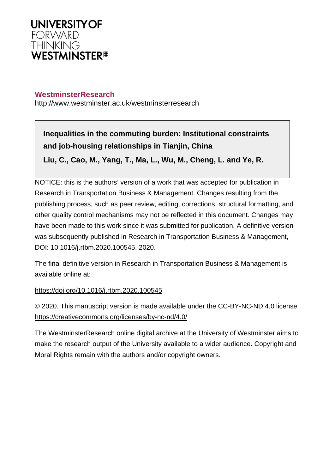

# **WestminsterResearch**

http://www.westminster.ac.uk/westminsterresearch

**Inequalities in the commuting burden: Institutional constraints and job-housing relationships in Tianjin, China Liu, C., Cao, M., Yang, T., Ma, L., Wu, M., Cheng, L. and Ye, R.**

NOTICE: this is the authors' version of a work that was accepted for publication in Research in Transportation Business & Management. Changes resulting from the publishing process, such as peer review, editing, corrections, structural formatting, and other quality control mechanisms may not be reflected in this document. Changes may have been made to this work since it was submitted for publication. A definitive version was subsequently published in Research in Transportation Business & Management, DOI: 10.1016/j.rtbm.2020.100545, 2020.

The final definitive version in Research in Transportation Business & Management is available online at:

<https://doi.org/10.1016/j.rtbm.2020.100545>

© 2020. This manuscript version is made available under the CC-BY-NC-ND 4.0 license <https://creativecommons.org/licenses/by-nc-nd/4.0/>

The WestminsterResearch online digital archive at the University of Westminster aims to make the research output of the University available to a wider audience. Copyright and Moral Rights remain with the authors and/or copyright owners.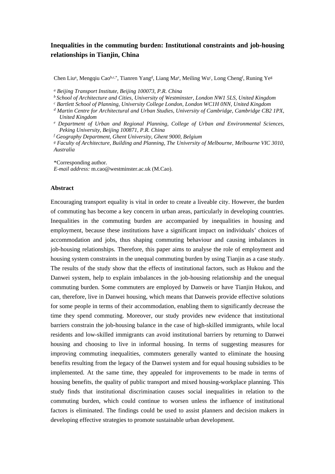# **Inequalities in the commuting burden: Institutional constraints and job-housing relationships in Tianjin, China**

Chen Liu<sup>a</sup>, Mengqiu Cao<sup>b,c,\*</sup>, Tianren Yang<sup>d</sup>, Liang Ma<sup>e</sup>, Meiling Wu<sup>c</sup>, Long Cheng<sup>f</sup>, Runing Ye<sup>g</sup>

*a Beijing Transport Institute, Beijing 100073, P.R. China*

*<sup>b</sup>School of Architecture and Cities, University of Westminster, London NW1 5LS, United Kingdom*

*c Bartlett School of Planning, University College London, London WC1H 0NN, United Kingdom*

- *d Martin Centre for Architectural and Urban Studies, University of Cambridge, Cambridge CB2 1PX, United Kingdom*
- <sup>e</sup> Department of Urban and Regional Planning, College of Urban and Environmental Sciences, *Peking University, Beijing 100871, P.R. China*

*f Geography Department, Ghent University, Ghent 9000, Belgium*

*g Faculty of Architecture, Building and Planning, The University of Melbourne, Melbourne VIC 3010, Australia*

\*Corresponding author.

*E-mail address:* m.cao@westminster.ac.uk (M.Cao).

## **Abstract**

Encouraging transport equality is vital in order to create a liveable city. However, the burden of commuting has become a key concern in urban areas, particularly in developing countries. Inequalities in the commuting burden are accompanied by inequalities in housing and employment, because these institutions have a significant impact on individuals' choices of accommodation and jobs, thus shaping commuting behaviour and causing imbalances in job-housing relationships. Therefore, this paper aims to analyse the role of employment and housing system constraints in the unequal commuting burden by using Tianjin as a case study. The results of the study show that the effects of institutional factors, such as Hukou and the Danwei system, help to explain imbalances in the job-housing relationship and the unequal commuting burden. Some commuters are employed by Danweis or have Tianjin Hukou, and can, therefore, live in Danwei housing, which means that Danweis provide effective solutions for some people in terms of their accommodation, enabling them to significantly decrease the time they spend commuting. Moreover, our study provides new evidence that institutional barriers constrain the job-housing balance in the case of high-skilled immigrants, while local residents and low-skilled immigrants can avoid institutional barriers by returning to Danwei housing and choosing to live in informal housing. In terms of suggesting measures for improving commuting inequalities, commuters generally wanted to eliminate the housing benefits resulting from the legacy of the Danwei system and for equal housing subsidies to be implemented. At the same time, they appealed for improvements to be made in terms of housing benefits, the quality of public transport and mixed housing-workplace planning. This study finds that institutional discrimination causes social inequalities in relation to the commuting burden, which could continue to worsen unless the influence of institutional factors is eliminated. The findings could be used to assist planners and decision makers in developing effective strategies to promote sustainable urban development.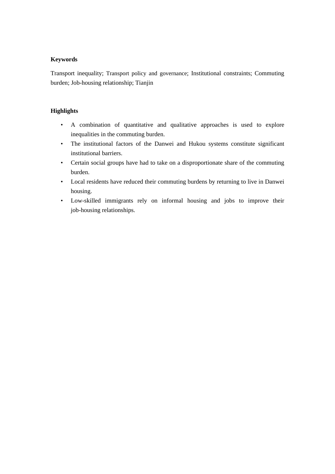# **Keywords**

Transport inequality; Transport policy and governance; Institutional constraints; Commuting burden; Job-housing relationship; Tianjin

# **Highlights**

- A combination of quantitative and qualitative approaches is used to explore inequalities in the commuting burden.
- The institutional factors of the Danwei and Hukou systems constitute significant institutional barriers.
- Certain social groups have had to take on a disproportionate share of the commuting burden.
- Local residents have reduced their commuting burdens by returning to live in Danwei housing.
- Low-skilled immigrants rely on informal housing and jobs to improve their job-housing relationships.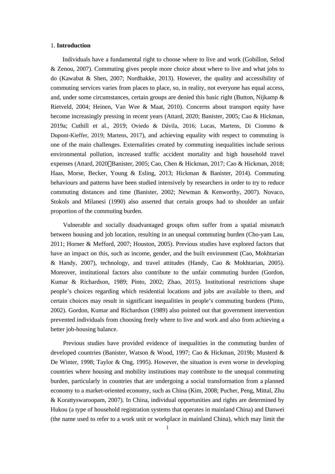#### 1. **Introduction**

Individuals have a fundamental right to choose where to live and work (Gobillon, Selod & Zenou, 2007). Commuting gives people more choice about where to live and what jobs to do (Kawabat & Shen, 2007; Nordbakke, 2013). However, the quality and accessibility of commuting services varies from places to place, so, in reality, not everyone has equal access, and, under some circumstances, certain groups are denied this basic right (Button, Nijkamp  $\&$ Rietveld, 2004; Heinen, Van Wee & Maat, 2010). Concerns about transport equity have become increasingly pressing in recent years (Attard, 2020; Banister, 2005; Cao & Hickman, 2019a; Cuthill et al., 2019; Oviedo & Dávila, 2016; Lucas, Martens, Di Ciommo & Dupont-Kieffer, 2019; Martens, 2017), and achieving equality with respect to commuting is one of the main challenges. Externalities created by commuting inequalities include serious environmental pollution, increased traffic accident mortality and high household travel expenses (Attard, 2020<sup>[</sup>]Banister, 2005; Cao, Chen & Hickman, 2017; Cao & Hickman, 2018; Haas, Morse, Becker, Young & Esling, 2013; Hickman & Banister, 2014). Commuting behaviours and patterns have been studied intensively by researchers in order to try to reduce commuting distances and time (Banister, 2002; Newman & Kenworthy, 2007). Novaco, Stokols and Milanesi (1990) also asserted that certain groups had to shoulder an unfair proportion of the commuting burden.

Vulnerable and socially disadvantaged groups often suffer from a spatial mismatch between housing and job location, resulting in an unequal commuting burden (Cho-yam Lau, 2011; Horner & Mefford, 2007; Houston, 2005). Previous studies have explored factors that have an impact on this, such as income, gender, and the built environment (Cao, Mokhtarian & Handy, 2007), technology, and travel attitudes (Handy, Cao & Mokhtarian, 2005). Moreover, institutional factors also contribute to the unfair commuting burden (Gordon, Kumar & Richardson, 1989; [Pinto, 2002](https://www.sciencedirect.com/science/article/pii/S0966692309001471?via=ihub#bib59); Zhao, 2015). Institutional restrictions shape people's choices regarding which residential locations and jobs are available to them, and certain choices may result in significant inequalities in people's commuting burdens [\(Pinto,](https://www.sciencedirect.com/science/article/pii/S0966692309001471?via=ihub#bib59)  [2002](https://www.sciencedirect.com/science/article/pii/S0966692309001471?via=ihub#bib59)). Gordon, Kumar and Richardson (1989) also pointed out that government intervention prevented individuals from choosing freely where to live and work and also from achieving a better job-housing balance.

 Previous studies have provided evidence of inequalities in the commuting burden of developed countries (Banister, Watson & Wood, 1997; Cao & Hickman, 2019b; Musterd & De Winter, 1998; Taylor & Ong, 1995). However, the situation is even worse in developing countries where housing and mobility institutions may contribute to the unequal commuting burden, particularly in countries that are undergoing a social transformation from a [planned](https://www.sciencedirect.com/topics/social-sciences/planned-economy)  [economy](https://www.sciencedirect.com/topics/social-sciences/planned-economy) to a market-oriented economy, such as China (Kim, 2008; Pucher, Peng, Mittal, Zhu & Korattyswaroopam, 2007). In China, individual opportunities and rights are determined by Hukou (a type of household registration systems that operates in mainland China) and Danwei (the name used to refer to a work unit or workplace in mainland China), which may limit the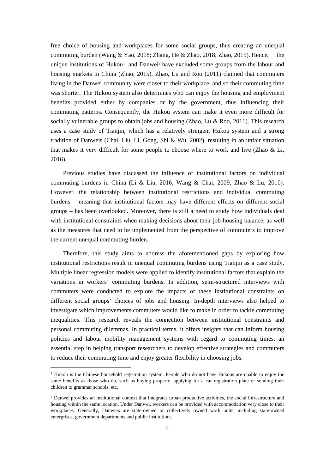free choice of housing and workplaces for some social groups, thus creating an unequal commuting burden (Wang  $&$  Yao, 2018; Zhang, He  $&$  Zhao, 2018; Zhao, 2015). Hence, the unique institutions of Hukou<sup>1</sup> and Danwei<sup>2</sup> have excluded some groups from the labour and housing markets in China (Zhao, 2015). Zhao, Lu and Roo (2011) claimed that commuters living in the Danwei community were closer to their workplace, and so their commuting time was shorter. The Hukou system also determines who can enjoy the housing and employment benefits provided either by companies or by the government, thus influencing their commuting patterns. Consequently, the Hukou system can make it even more difficult for socially vulnerable groups to obtain jobs and housing ([Zhao, Lu & Roo, 2011](https://www.sciencedirect.com/science/article/pii/S0967070X18300519#bib63)). This research uses a case study of Tianjin, which has a relatively stringent Hukou system and a strong tradition of Danweis (Chai, Liu, Li, Gong, Shi & Wu, 2002), resulting in an unfair situation that makes it very difficult for some people to choose where to work and live ([Zhao & Li,](https://www.sciencedirect.com/science/article/pii/S096669231730649X?via=ihub#bb0090)  [2016](https://www.sciencedirect.com/science/article/pii/S096669231730649X?via=ihub#bb0090)).

 Previous studies have discussed the influence of institutional factors on individual commuting burdens in China (Li & Liu, 2016; Wang & Chai, 2009; Zhao & Lu, 2010). However, the relationship between institutional restrictions and individual commuting burdens – meaning that institutional factors may have different effects on different social groups – has been overlooked. Moreover, there is still a need to study how individuals deal with institutional constraints when making decisions about their job-housing balance, as well as the measures that need to be implemented from the perspective of commuters to improve the current unequal commuting burden.

 Therefore, this study aims to address the aforementioned gaps by exploring how institutional restrictions result in unequal commuting burdens using Tianjin as a case study. Multiple linear regression models were applied to identify [institutional factors](https://www.sciencedirect.com/topics/social-sciences/institutional-factors) that explain the variations in workers' commuting burdens. In addition, semi-structured interviews with commuters were conducted to explore the impacts of these institutional constraints on different social groups' choices of jobs and housing. In-depth interviews also helped to investigate which improvements commuters would like to make in order to tackle commuting inequalities. This research reveals the connection between institutional constraints and personal commuting dilemmas. In practical terms, it offers insights that can inform housing policies and labour mobility management systems with regard to commuting times, an essential step in helping transport researchers to develop effective strategies and commuters to reduce their commuting time and enjoy greater flexibility in choosing jobs.

<sup>&</sup>lt;sup>1</sup> Hukou is the Chinese household registration system. People who do not have Hukous are unable to enjoy the same benefits as those who do, such as buying property, applying for a car registration plate or sending their children to grammar schools, etc.

<sup>&</sup>lt;sup>2</sup> Danwei provides an institutional context that integrates urban productive activities, the social infrastructure and housing within the same location. Under Danwei, workers can be provided with accommodation very close to their workplaces. Generally, Danweis are state-owned or collectively owned work units, including state-owned enterprises, government departments and public institutions.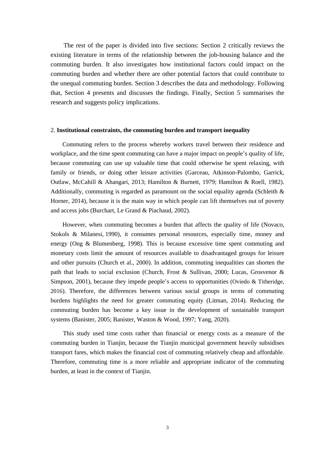The rest of the paper is divided into five sections: Section 2 critically reviews the existing literature in terms of the relationship between the job-housing balance and the commuting burden. It also investigates how institutional factors could impact on the commuting burden and whether there are other potential factors that could contribute to the unequal commuting burden. Section 3 describes the data and methodology. Following that, Section 4 presents and discusses the findings. Finally, Section 5 summarises the research and suggests policy implications.

#### 2. **Institutional constraints, the commuting burden and transport inequality**

Commuting refers to the process whereby workers travel between their residence and workplace, and the time spent commuting can have a major impact on people's quality of life, because commuting can use up valuable time that could otherwise be spent relaxing, with family or friends, or doing other leisure activities (Garceau, Atkinson-Palombo, Garrick, Outlaw, McCahill & Ahangari, 2013; Hamilton & Burnett, 1979; Hamilton & Roell, 1982). Additionally, commuting is regarded as paramount on the social equality agenda (Schleith  $\&$ Horner, 2014), because it is the main way in which people can lift themselves out of poverty and access jobs (Burchart, Le Grand & Piachaud, 2002).

However, when commuting becomes a burden that affects the quality of life (Novaco, Stokols & Milanesi, [1990](https://www.tandfonline.com/doi/full/10.1080/15568318.2016.1191693)), it consumes personal resources, especially time, money and energy (Ong & Blumenberg, 1998). This is because excessive time spent commuting and monetary costs limit the amount of resources available to disadvantaged groups for leisure and other pursuits (Church et al., 2000). In addition, commuting inequalities can shorten the path that leads to social exclusion (Church, Frost & Sullivan, 2000; Lucas, Grosvenor & Simpson, 2001), because they impede people's access to opportunities (Oviedo  $&$  Titheridge, 2016). Therefore, the differences between various social groups in terms of commuting burdens highlights the need for greater commuting equity (Litman, 2014). Reducing the commuting burden has become a key issue in the development of sustainable transport systems (Banister, 2005; Banister, Waston & Wood, 1997; Yang, 2020).

This study used time costs rather than financial or energy costs as a measure of the commuting burden in Tianjin, because the Tianjin municipal government heavily subsidises transport fares, which makes the financial cost of commuting relatively cheap and affordable. Therefore, commuting time is a more reliable and appropriate indicator of the commuting burden, at least in the context of Tianjin.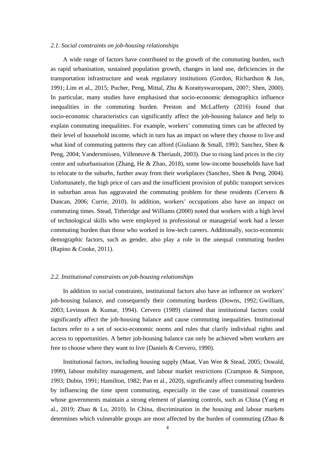#### *2.1. Social constraints on job-housing relationships*

 A wide range of factors have contributed to the growth of the commuting burden, such as rapid urbanisation, sustained population growth, changes in land use, deficiencies in the transportation infrastructure and weak regulatory institutions (Gordon, Richardson & Jun, 1991; Lim et al., 2015; Pucher, Peng, Mittal, Zhu & Korattyswaroopam, 2007; Shen, 2000). In particular, many studies have emphasised that socio-economic demographics influence inequalities in the commuting burden. Preston and McLafferty (2016) found that socio-economic characteristics can significantly affect the job-housing balance and help to explain commuting inequalities. For example, workers' commuting times can be affected by their level of household income, which in turn has an impact on where they choose to live and what kind of commuting patterns they can afford (Giuliano & Small, 1993; Sanchez, Shen & Peng, 2004; Vandersmissen, Villeneuve & Theriault, 2003). Due to rising land prices in the city centre and suburbanisation (Zhang, He & Zhao, 2018), some low-income households have had to relocate to the suburbs, further away from their workplaces (Sanchez, Shen & Peng, 2004). Unfortunately, the high price of cars and the insufficient provision of public transport services in suburban areas has aggravated the commuting problem for these residents (Cervero  $\&$ Duncan, 2006; Currie, 2010). In addition, workers' occupations also have an impact on commuting times. Stead, Titheridge and Williams (2000) noted that workers with a high level of technological skills who were employed in professional or managerial work had a lesser commuting burden than those who worked in low-tech careers. Additionally, socio-economic demographic factors, such as gender, also play a role in the unequal commuting burden (Rapino & Cooke, 2011).

## *2.2. Institutional constraints on job-housing relationships*

 In addition to social constraints, institutional factors also have an influence on workers' job-housing balance, and consequently their commuting burdens (Downs, 1992; Gwilliam, 2003; Levinson & Kumar, 1994). Cervero (1989) claimed that institutional factors could significantly affect the job-housing balance and cause commuting inequalities. Institutional factors refer to a set of socio-economic norms and rules that clarify individual rights and access to opportunities. A better job-housing balance can only be achieved when workers are free to choose where they want to live (Daniels & Cervero, 1990).

 Institutional factors, including housing supply (Maat, Van Wee & Stead, 2005; Oswald, 1999), labour mobility management, and labour market restrictions (Crampton & Simpson, 1993; Dubin, 1991; Hamilton, 1982; Pan et al., 2020), significantly affect commuting burdens by influencing the time spent commuting, especially in the case of transitional countries whose governments maintain a strong element of planning controls, such as China (Yang et al., 2019; Zhao & Lu, 2010). In China, discrimination in the housing and labour markets determines which vulnerable groups are most affected by the burden of commuting (Zhao &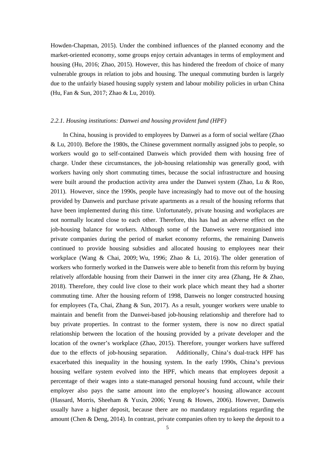Howden-Chapman, 2015). Under the combined influences of the planned economy and the market-oriented economy, some groups enjoy certain advantages in terms of employment and housing (Hu, 2016; Zhao, 2015). However, this has hindered the freedom of choice of many vulnerable groups in relation to jobs and housing. The unequal commuting burden is largely due to the unfairly biased housing supply system and labour mobility policies in urban China (Hu, Fan & Sun, 2017; Zhao & Lu, 2010).

## *2.2.1. Housing institutions: Danwei and housing provident fund (HPF)*

 In China, housing is provided to employees by Danwei as a form of social welfare (Zhao & Lu, 2010). Before the 1980s, the Chinese government normally assigned jobs to people, so workers would go to self-contained Danweis which provided them with housing free of charge. Under these circumstances, the job-housing relationship was generally good, with workers having only short commuting times, because the social infrastructure and housing were built around the production activity area under the Danwei system (Zhao, Lu & Roo, 2011). However, since the 1990s, people have increasingly had to move out of the housing provided by Danweis and purchase private apartments as a result of the housing reforms that have been implemented during this time. Unfortunately, private housing and workplaces are not normally located close to each other. Therefore, this has had an adverse effect on the job-housing balance for workers. Although some of the Danweis were reorganised into private companies during the period of market economy reforms, the remaining Danweis continued to provide housing subsidies and allocated housing to employees near their workplace ([Wang & Chai, 2](https://www.sciencedirect.com/science/article/pii/S0966692309001471?via=ihub#bib72)009; [Wu, 1996;](https://www.sciencedirect.com/science/article/pii/S0966692309001471?via=ihub#bib76) Zhao & Li, 2016). The older generation of workers who formerly worked in the Danweis were able to benefit from this reform by buying relatively affordable housing from their Danwei in the inner city area (Zhang, He & Zhao, 2018). Therefore, they could live close to their work place which meant they had a shorter commuting time. After the housing reform of 1998, Danweis no longer constructed housing for employees (Ta, Chai, Zhang & Sun, 2017). As a result, younger workers were unable to maintain and benefit from the Danwei-based job-housing relationship and therefore had to buy private properties. In contrast to the former system, there is now no direct spatial relationship between the location of the housing provided by a private developer and the location of the owner's workplace (Zhao, 2015). Therefore, younger workers have suffered due to the effects of job-housing separation. Additionally, China's dual-track HPF has exacerbated this inequality in the housing system. In the early 1990s, China's previous housing welfare system evolved into the HPF, which means that employees deposit a percentage of their wages into a state-managed personal housing fund account, while their employer also pays the same amount into the employee's housing allowance account (Hassard, Morris, Sheeham & Yuxin, 2006; Yeung & Howes, 2006). However, Danweis usually have a higher deposit, because there are no mandatory regulations regarding the amount (Chen & Deng, 2014). In contrast, private companies often try to keep the deposit to a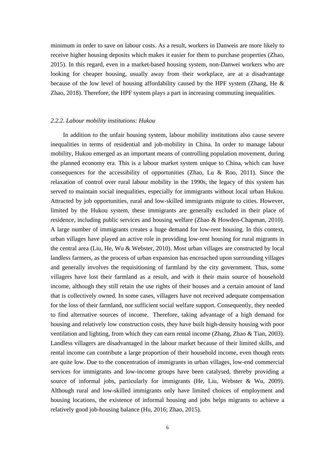minimum in order to save on labour costs. As a result, workers in Danweis are more likely to receive higher housing deposits which makes it easier for them to purchase properties (Zhao, 2015). In this regard, even in a market-based housing system, non-Danwei workers who are looking for cheaper housing, usually away from their workplace, are at a disadvantage because of the low level of housing affordability caused by the HPF system (Zhang, He & Zhao, 2018). Therefore, the HPF system plays a part in increasing commuting inequalities.

## *2.2.2. Labour mobility institutions: Hukou*

 In addition to the unfair housing system, labour mobility institutions also cause severe inequalities in terms of residential and job-mobility in China. In order to manage labour mobility, Hukou emerged as an important means of controlling population movement, during the planned economy era. This is a labour market system unique to China, which can have consequences for the accessibility of opportunities (Zhao, Lu & Roo, 2011). Since the relaxation of control over rural labour mobility in the 1990s, the legacy of this system has served to maintain social inequalities, especially for immigrants without local urban Hukou. Attracted by job opportunities, rural and low-skilled immigrants migrate to cities. However, limited by the Hukou system, these immigrants are generally excluded in their place of residence, including public services and housing welfare (Zhao & Howden-Chapman, 2010). A large number of immigrants creates a huge demand for low-rent housing. In this context, urban villages have played an active role in providing low-rent housing for rural migrants in the central area (Liu, He, Wu & Webster, 2010). Most urban villages are constructed by local landless farmers, as the process of urban expansion has encroached upon surrounding villages and generally involves the requisitioning of farmland by the city government. Thus, some villagers have lost their farmland as a result, and with it their main source of household income, although they still retain the use rights of their houses and a certain amount of land that is collectively owned. In some cases, villagers have not received adequate compensation for the loss of their farmland, nor sufficient social welfare support. Consequently, they needed to find alternative sources of income. Therefore, taking advantage of a high demand for housing and relatively low construction costs, they have built high-density housing with poor ventilation and lighting, from which they can earn rental income (Zhang, Zhao & Tian, 2003). Landless villagers are disadvantaged in the labour market because of their limited skills, and rental income can contribute a large proportion of their household income, even though rents are quite low. Due to the concentration of immigrants in urban villages, low-end commercial services for immigrants and low-income groups have been catalysed, thereby providing a source of informal jobs, particularly for immigrants (He, Liu, Webster & Wu, 2009). Although rural and low-skilled immigrants only have limited choices of employment and housing locations, the existence of informal housing and jobs helps migrants to achieve a relatively good job-housing balance (Hu, 2016; Zhao, 2015).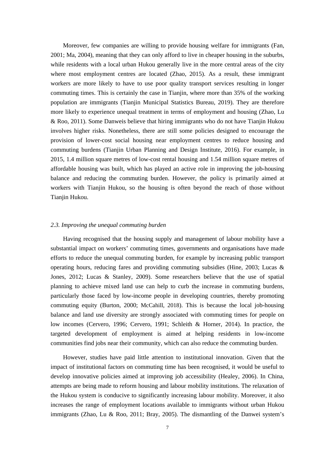Moreover, few companies are willing to provide housing welfare for immigrants (Fan, 2001; Ma, 2004), meaning that they can only afford to live in cheaper housing in the suburbs, while residents with a local urban Hukou generally live in the more central areas of the city where most employment centres are located (Zhao, 2015). As a result, these immigrant workers are more likely to have to use poor quality transport services resulting in longer commuting times. This is certainly the case in Tianjin, where more than 35% of the working population are immigrants (Tianjin Municipal Statistics Bureau, 2019). They are therefore more likely to experience unequal treatment in terms of employment and housing (Zhao, Lu & Roo, 2011). Some Danweis believe that hiring immigrants who do not have Tianjin Hukou involves higher risks. Nonetheless, there are still some policies designed to encourage the provision of lower-cost social housing near employment centres to reduce housing and commuting burdens (Tianjin Urban Planning and Design Institute, 2016). For example, in 2015, 1.4 million square metres of low-cost rental housing and 1.54 million square metres of affordable housing was built, which has played an active role in improving the job-housing balance and reducing the commuting burden. However, the policy is primarily aimed at workers with Tianjin Hukou, so the housing is often beyond the reach of those without Tianjin Hukou.

## *2.3. Improving the unequal commuting burden*

 Having recognised that the housing supply and management of labour mobility have a substantial impact on workers' commuting times, governments and organisations have made efforts to reduce the unequal commuting burden, for example by increasing public transport operating hours, reducing fares and providing commuting subsidies (Hine, 2003; Lucas & Jones, 2012; Lucas & Stanley, 2009). Some researchers believe that the use of spatial planning to achieve mixed land use can help to curb the increase in commuting burdens, particularly those faced by low-income people in developing countries, thereby promoting commuting equity (Burton, 2000; McCahill, 2018). This is because the local job-housing balance and land use diversity are strongly associated with commuting times for people on low incomes (Cervero, 1996; Cervero, 1991; Schleith & Horner, 2014). In practice, the targeted development of employment is aimed at helping residents in low-income communities find jobs near their community, which can also reduce the commuting burden.

 However, studies have paid little attention to institutional innovation. Given that the impact of institutional factors on commuting time has been recognised, it would be useful to develop innovative policies aimed at improving job accessibility (Healey, 2006). In China, attempts are being made to reform housing and labour mobility institutions. The relaxation of the Hukou system is conducive to significantly increasing labour mobility. Moreover, it also increases the range of employment locations available to immigrants without urban Hukou immigrants (Zhao, Lu & Roo, 2011; Bray, 2005). The dismantling of the Danwei system's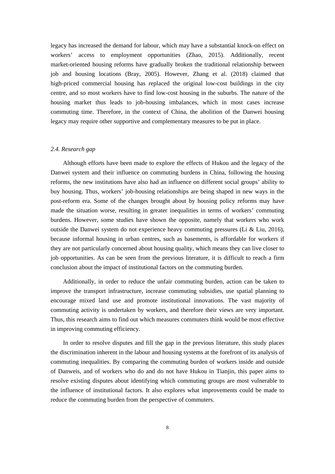legacy has increased the demand for labour, which may have a substantial knock-on effect on workers' access to employment opportunities (Zhao, 2015). Additionally, recent market-oriented housing reforms have gradually broken the traditional relationship between job and housing locations (Bray, 2005). However, Zhang et al. (2018) claimed that high-priced commercial housing has replaced the original low-cost buildings in the city centre, and so most workers have to find low-cost housing in the suburbs. The nature of the housing market thus leads to job-housing imbalances, which in most cases increase commuting time. Therefore, in the context of China, the abolition of the Danwei housing legacy may require other supportive and complementary measures to be put in place.

## *2.4. Research gap*

Although efforts have been made to explore the effects of Hukou and the legacy of the Danwei system and their influence on commuting burdens in China, following the housing reforms, the new institutions have also had an influence on different social groups' ability to buy housing. Thus, workers' job-housing relationships are being shaped in new ways in the post-reform era. Some of the changes brought about by housing policy reforms may have made the situation worse, resulting in greater inequalities in terms of workers' commuting burdens. However, some studies have shown the opposite, namely that workers who work outside the Danwei system do not experience heavy commuting pressures (Li & Liu, 2016), because informal housing in urban centres, such as basements, is affordable for workers if they are not particularly concerned about housing quality, which means they can live closer to job opportunities. As can be seen from the previous literature, it is difficult to reach a firm conclusion about the impact of institutional factors on the commuting burden.

 Additionally, in order to reduce the unfair commuting burden, action can be taken to improve the transport infrastructure, increase commuting subsidies, use spatial planning to encourage mixed land use and promote institutional innovations. The vast majority of commuting activity is undertaken by workers, and therefore their views are very important. Thus, this research aims to find out which measures commuters think would be most effective in improving commuting efficiency.

 In order to resolve disputes and fill the gap in the previous literature, this study places the discrimination inherent in the labour and housing systems at the forefront of its analysis of commuting inequalities. By comparing the commuting burden of workers inside and outside of Danweis, and of workers who do and do not have Hukou in Tianjin, this paper aims to resolve existing disputes about identifying which commuting groups are most vulnerable to the influence of institutional factors. It also explores what improvements could be made to reduce the commuting burden from the perspective of commuters.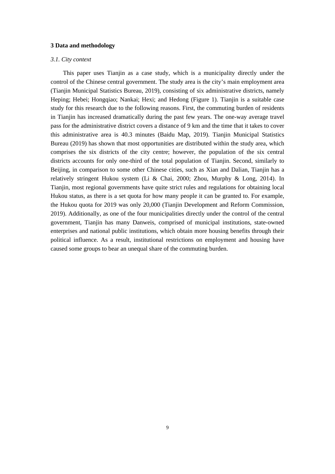#### **3 Data and methodology**

#### *3.1. City context*

 This paper uses Tianjin as a case study, which is a municipality directly under the control of the Chinese central government. The study area is the city's main employment area (Tianjin Municipal Statistics Bureau, 2019), consisting of six administrative districts, namely Heping; Hebei; Hongqiao; Nankai; Hexi; and Hedong (Figure 1). Tianjin is a suitable case study for this research due to the following reasons. First, the commuting burden of residents in Tianjin has increased dramatically during the past few years. The one-way average travel pass for the administrative district covers a distance of 9 km and the time that it takes to cover this administrative area is 40.3 minutes (Baidu Map, 2019). Tianjin Municipal Statistics Bureau (2019) has shown that most opportunities are distributed within the study area, which comprises the six districts of the city centre; however, the population of the six central districts accounts for only one-third of the total population of Tianjin. Second, similarly to Beijing, in comparison to some other Chinese cities, such as Xian and Dalian, Tianjin has a relatively stringent Hukou system (Li & Chai, 2000; Zhou, Murphy & Long, 2014). In Tianjin, most regional governments have quite strict rules and regulations for obtaining local Hukou status, as there is a set quota for how many people it can be granted to. For example, the Hukou quota for 2019 was only 20,000 (Tianjin Development and Reform Commission, 2019). Additionally, as one of the four municipalities directly under the control of the central government, Tianjin has many Danweis, comprised of municipal institutions, state-owned enterprises and national public institutions, which obtain more housing benefits through their political influence. As a result, institutional restrictions on employment and housing have caused some groups to bear an unequal share of the commuting burden.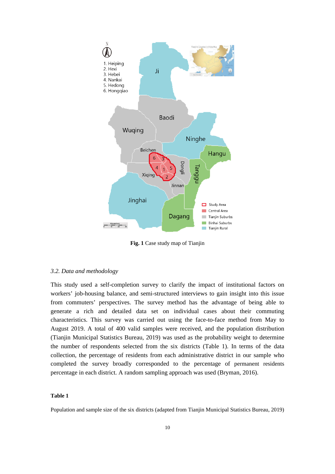

**Fig. 1** Case study map of Tianjin

### *3.2. Data and methodology*

This study used a self-completion survey to clarify the impact of institutional factors on workers' job-housing balance, and semi-structured interviews to gain insight into this issue from commuters' perspectives. The survey method has the advantage of being able to generate a rich and detailed data set on individual cases about their commuting characteristics. This survey was carried out using the face-to-face method from May to August 2019. A total of 400 valid samples were received, and the population distribution (Tianjin Municipal Statistics Bureau, 2019) was used as the probability weight to determine the number of respondents selected from the six districts (Table 1). In terms of the data collection, the percentage of residents from each administrative district in our sample who completed the survey broadly corresponded to the percentage of permanent residents percentage in each district. A random sampling approach was used (Bryman, 2016).

#### **Table 1**

Population and sample size of the six districts (adapted from Tianjin Municipal Statistics Bureau, 2019)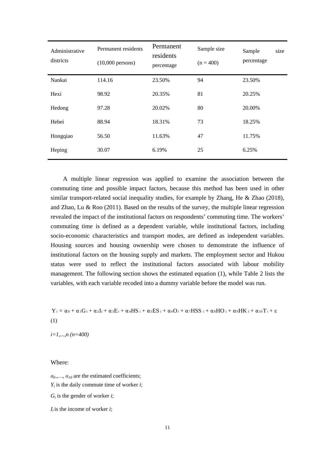| Administrative<br>districts | Permanent residents<br>$(10,000$ persons) | Permanent<br>residents<br>percentage | Sample size<br>$(n = 400)$ | Sample<br>size<br>percentage |
|-----------------------------|-------------------------------------------|--------------------------------------|----------------------------|------------------------------|
| Nankai                      | 114.16                                    | 23.50%                               | 94                         | 23.50%                       |
| Hexi                        | 98.92                                     | 20.35%                               | 81                         | 20.25%                       |
| Hedong                      | 97.28                                     | 20.02%                               | 80                         | 20.00%                       |
| Hebei                       | 88.94                                     | 18.31%                               | 73                         | 18.25%                       |
| Hongqiao                    | 56.50                                     | 11.63%                               | 47                         | 11.75%                       |
| Heping                      | 30.07                                     | 6.19%                                | 25                         | 6.25%                        |

A multiple linear regression was applied to examine the association between the commuting time and possible impact factors, because this method has been used in other similar transport-related social inequality studies, for example by Zhang, He & Zhao (2018), and Zhao, Lu & Roo (2011). Based on the results of the survey, the multiple linear regression revealed the impact of the institutional factors on respondents' commuting time. The workers' commuting time is defined as a dependent variable, while institutional factors, including socio-economic characteristics and transport modes, are defined as independent variables. Housing sources and housing ownership were chosen to demonstrate the influence of institutional factors on the housing supply and markets. The employment sector and Hukou status were used to reflect the institutional factors associated with labour mobility management. The following section shows the estimated equation (1), while Table 2 lists the variables, with each variable recoded into a dummy variable before the model was run.

 $Y_i = \alpha_0 + \alpha_1 G_i + \alpha_2 I_i + \alpha_3 E_i + \alpha_4 HS_i + \alpha_5 ES_i + \alpha_6 O_i + \alpha_7 HSS_i + \alpha_8 HO_i + \alpha_9 HK_i + \alpha_{10} T_i + \epsilon$ (1)

*i=1,...,n (n=400)*

### Where:

 $\alpha_0, \ldots, \alpha_{10}$  are the estimated coefficients; *Yi* is the daily commute time of worker *i*;  $G_i$  is the gender of worker *i*;

 $I_i$  is the income of worker *i*;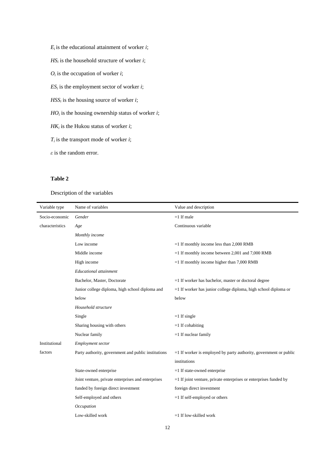$E_i$  is the educational attainment of worker *i*; *HS<sup>i</sup>* is the household structure of worker *i*;  $O_i$  is the occupation of worker *i*;  $ES_i$  is the employment sector of worker *i*;  $HSS_i$  is the housing source of worker *i*; *HO<sup>i</sup>* is the housing ownership status of worker *i*; *HK<sup>i</sup>* is the Hukou status of worker *i*; *Ti* is the transport mode of worker *i*; *ε* is the random error.

## **Table 2**

Description of the variables

| Variable type   | Name of variables                                   | Value and description                                               |
|-----------------|-----------------------------------------------------|---------------------------------------------------------------------|
| Socio-economic  | Gender                                              | $=1$ If male                                                        |
| characteristics | Age                                                 | Continuous variable                                                 |
|                 | Monthly income                                      |                                                                     |
|                 | Low income                                          | $=1$ If monthly income less than 2,000 RMB                          |
|                 | Middle income                                       | $=1$ If monthly income between 2,001 and 7,000 RMB                  |
|                 | High income                                         | $=1$ If monthly income higher than 7,000 RMB                        |
|                 | <b>Educational</b> attainment                       |                                                                     |
|                 | Bachelor, Master, Doctorate                         | $=1$ If worker has bachelor, master or doctoral degree              |
|                 | Junior college diploma, high school diploma and     | $=1$ If worker has junior college diploma, high school diploma or   |
|                 | below                                               | below                                                               |
|                 | Household structure                                 |                                                                     |
|                 | Single                                              | $=1$ If single                                                      |
|                 | Sharing housing with others                         | $=1$ If cohabiting                                                  |
|                 | Nuclear family                                      | $=1$ If nuclear family                                              |
| Institutional   | Employment sector                                   |                                                                     |
| factors         | Party authority, government and public institutions | $=1$ If worker is employed by party authority, government or public |
|                 |                                                     | institutions                                                        |
|                 | State-owned enterprise                              | $=1$ If state-owned enterprise                                      |
|                 | Joint venture, private enterprises and enterprises  | $=1$ If joint venture, private enterprises or enterprises funded by |
|                 | funded by foreign direct investment                 | foreign direct investment                                           |
|                 | Self-employed and others                            | $=1$ If self-employed or others                                     |
|                 | Occupation                                          |                                                                     |
|                 | Low-skilled work                                    | $=1$ If low-skilled work                                            |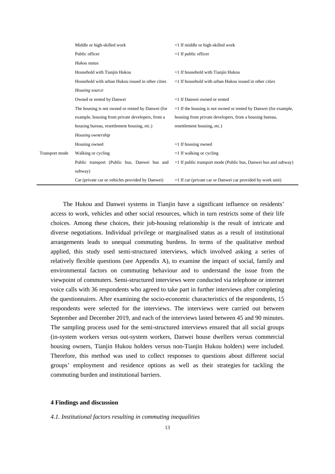|                | Middle or high-skilled work                       | $=1$ If middle or high-skilled work                                |
|----------------|---------------------------------------------------|--------------------------------------------------------------------|
|                | Public officer                                    | $=1$ If public officer                                             |
|                | Hukou status                                      |                                                                    |
|                | Household with Tianjin Hukou                      | $=1$ If household with Tianjin Hukou                               |
|                | Household with urban Hukou issued in other cities | $=1$ If household with urban Hukou issued in other cities          |
|                | Housing source                                    |                                                                    |
|                | Owned or rented by Danwei                         | $=1$ If Danwei owned or rented                                     |
|                | The housing is not owned or rented by Danwei (for | $=1$ If the housing is not owned or rented by Danwei (for example, |
|                | example, housing from private developers, from a  | housing from private developers, from a housing bureau,            |
|                | housing bureau, resettlement housing, etc.)       | resettlement housing, etc.)                                        |
|                | Housing ownership                                 |                                                                    |
|                | Housing owned                                     | $=1$ If housing owned                                              |
| Transport mode | Walking or cycling                                | $=1$ If walking or cycling                                         |
|                | Public transport (Public bus, Danwei bus and      | $=1$ If public transport mode (Public bus, Danwei bus and subway)  |
|                | subway)                                           |                                                                    |
|                | Car (private car or vehicles provided by Danwei)  | $=1$ If car (private car or Danwei car provided by work unit)      |

The Hukou and Danwei systems in Tianjin have a significant influence on residents' access to work, vehicles and other social resources, which in turn restricts some of their life choices. Among these choices, their job-housing relationship is the result of intricate and diverse negotiations. Individual privilege or marginalised status as a result of institutional arrangements leads to unequal commuting burdens. In terms of the qualitative method applied, this study used semi-structured interviews, which involved asking a series of relatively flexible questions (see Appendix A), to examine the impact of social, family and environmental factors on commuting behaviour and to understand the issue from the viewpoint of commuters. Semi-structured interviews were conducted via telephone or internet voice calls with 36 respondents who agreed to take part in further interviews after completing the questionnaires. After examining the socio-economic characteristics of the respondents, 15 respondents were selected for the interviews. The interviews were carried out between September and December 2019, and each of the interviews lasted between 45 and 90 minutes. The sampling process used for the semi-structured interviews ensured that all social groups (in-system workers versus out-system workers, Danwei house dwellers versus commercial housing owners, Tianjin Hukou holders versus non-Tianjin Hukou holders) were included. Therefore, this method was used to collect responses to questions about different social groups' employment and residence options as well as their [strategies](https://www.sciencedirect.com/topics/earth-and-planetary-sciences/coping-strategy) for tackling the commuting burden and institutional barriers.

## **4 Findings and discussion**

*4.1. Institutional factors resulting in commuting inequalities*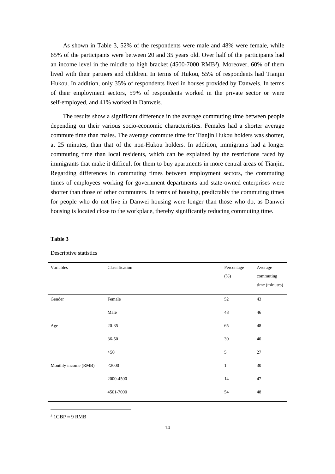As shown in Table 3, 52% of the respondents were male and 48% were female, while 65% of the participants were between 20 and 35 years old. Over half of the participants had an income level in the middle to high bracket (4500-7000 RMB<sup>3</sup>). Moreover, 60% of them lived with their partners and children. In terms of Hukou, 55% of respondents had Tianjin Hukou. In addition, only 35% of respondents lived in houses provided by Danweis. In terms of their employment sectors, 59% of respondents worked in the private sector or were self-employed, and 41% worked in Danweis.

The results show a significant difference in the average commuting time between people depending on their various socio-economic characteristics. Females had a shorter average commute time than males. The average commute time for Tianjin Hukou holders was shorter, at 25 minutes, than that of the non-Hukou holders. In addition, immigrants had a longer commuting time than local residents, which can be explained by the restrictions faced by immigrants that make it difficult for them to buy apartments in more central areas of Tianjin. Regarding differences in commuting times between employment sectors, the commuting times of employees working for government departments and state-owned enterprises were shorter than those of other commuters. In terms of housing, predictably the commuting times for people who do not live in Danwei housing were longer than those who do, as Danwei housing is located close to the workplace, thereby significantly reducing commuting time.

### **Table 3**

| Variables            | Classification | Percentage<br>$(\% )$ | Average<br>commuting<br>time (minutes) |
|----------------------|----------------|-----------------------|----------------------------------------|
| Gender               | Female         | 52                    | 43                                     |
|                      | Male           | 48                    | 46                                     |
| Age                  | $20 - 35$      | 65                    | 48                                     |
|                      | $36 - 50$      | $30\,$                | 40                                     |
|                      | >50            | 5                     | $27\,$                                 |
| Monthly income (RMB) | $<$ 2000       | $\mathbf{1}$          | 30                                     |
|                      | 2000-4500      | $14\,$                | 47                                     |
|                      | 4501-7000      | 54                    | 48                                     |

#### Descriptive statistics

<sup>3</sup> 1GBP ≈ 9 RMB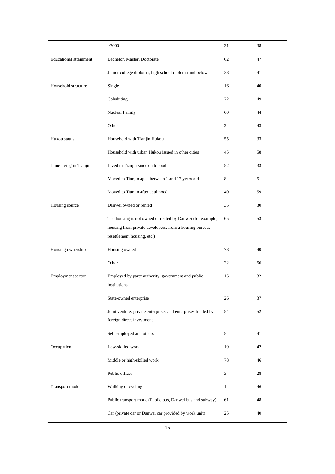|                               | >7000                                                                                  | 31             | 38 |
|-------------------------------|----------------------------------------------------------------------------------------|----------------|----|
| <b>Educational</b> attainment | Bachelor, Master, Doctorate                                                            | 62             | 47 |
|                               | Junior college diploma, high school diploma and below                                  | 38             | 41 |
| Household structure           | Single                                                                                 | 16             | 40 |
|                               | Cohabiting                                                                             | 22             | 49 |
|                               | Nuclear Family                                                                         | 60             | 44 |
|                               | Other                                                                                  | $\sqrt{2}$     | 43 |
| Hukou status                  | Household with Tianjin Hukou                                                           | 55             | 33 |
|                               | Household with urban Hukou issued in other cities                                      | 45             | 58 |
| Time living in Tianjin        | Lived in Tianjin since childhood                                                       | 52             | 33 |
|                               | Moved to Tianjin aged between 1 and 17 years old                                       | 8              | 51 |
|                               | Moved to Tianjin after adulthood                                                       | 40             | 59 |
| Housing source                | Danwei owned or rented                                                                 | 35             | 30 |
|                               | The housing is not owned or rented by Danwei (for example,                             | 65             | 53 |
|                               | housing from private developers, from a housing bureau,<br>resettlement housing, etc.) |                |    |
|                               |                                                                                        |                |    |
| Housing ownership             | Housing owned                                                                          | 78             | 40 |
|                               | Other                                                                                  | 22             | 56 |
| Employment sector             | Employed by party authority, government and public                                     | 15             | 32 |
|                               | institutions                                                                           |                |    |
|                               | State-owned enterprise                                                                 | 26             | 37 |
|                               | Joint venture, private enterprises and enterprises funded by                           | 54             | 52 |
|                               | foreign direct investment                                                              |                |    |
|                               | Self-employed and others                                                               | 5              | 41 |
| Occupation                    | Low-skilled work                                                                       | 19             | 42 |
|                               | Middle or high-skilled work                                                            | 78             | 46 |
|                               | Public officer                                                                         | $\mathfrak{Z}$ | 28 |
| Transport mode                | Walking or cycling                                                                     | 14             | 46 |
|                               | Public transport mode (Public bus, Danwei bus and subway)                              | 61             | 48 |
|                               | Car (private car or Danwei car provided by work unit)                                  | 25             | 40 |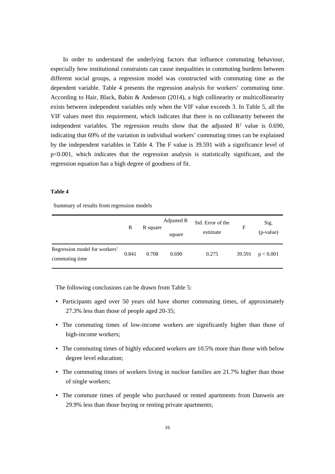In order to understand the underlying factors that influence commuting behaviour, especially how institutional constraints can cause inequalities in commuting burdens between different social groups, a regression model was constructed with commuting time as the dependent variable. Table 4 presents the regression analysis for workers' commuting time. According to Hair, Black, Babin & Anderson (2014), a high collinearity or multicollinearity exists between independent variables only when the VIF value exceeds 3. In Table 5, all the VIF values meet this requirement, which indicates that there is no collinearity between the independent variables. The regression results show that the adjusted  $\mathbb{R}^2$  value is 0.690, indicating that 69% of the variation in individual workers' commuting times can be explained by the independent variables in Table 4. The F value is 39.591 with a significance level of p<0.001, which indicates that the regression analysis is statistically significant, and the regression equation has a high degree of goodness of fit.

### **Table 4**

Summary of results from regression models

|                                                 | R     | R square | Adjusted R<br>square | Std. Error of the<br>estimate | F      | Sig.<br>(p-value) |
|-------------------------------------------------|-------|----------|----------------------|-------------------------------|--------|-------------------|
| Regression model for workers'<br>commuting time | 0.841 | 0.708    | 0.690                | 0.275                         | 39.591 | p < 0.001         |

The following conclusions can be drawn from Table 5:

- Participants aged over 50 years old have shorter commuting times, of approximately 27.3% less than those of people aged 20-35;
- The commuting times of low-income workers are significantly higher than those of high-income workers;
- The commuting times of highly educated workers are 10.5% more than those with below degree level education;
- The commuting times of workers living in nuclear families are 21.7% higher than those of single workers;
- The commute times of people who purchased or rented apartments from Danweis are 29.9% less than those buying or renting private apartments;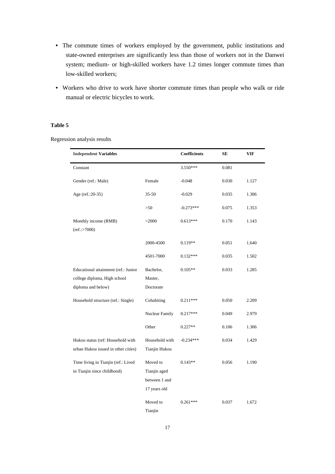- The commute times of workers employed by the government, public institutions and state-owned enterprises are significantly less than those of workers not in the Danwei system; medium- or high-skilled workers have 1.2 times longer commute times than low-skilled workers;
- Workers who drive to work have shorter commute times than people who walk or ride manual or electric bicycles to work.

## **Table 5**

Regression analysis results

| <b>Independent Variables</b>         |                | <b>Coefficients</b> | SЕ    | <b>VIF</b> |
|--------------------------------------|----------------|---------------------|-------|------------|
| Constant                             |                | 3.550***            | 0.081 |            |
| Gender (ref.: Male)                  | Female         | $-0.048$            | 0.030 | 1.127      |
| Age (ref.: 20-35)                    | $35 - 50$      | $-0.029$            | 0.035 | 1.306      |
|                                      | >50            | $-0.273***$         | 0.075 | 1.353      |
| Monthly income (RMB)                 | $<$ 2000       | $0.613***$          | 0.170 | 1.143      |
| (ref.:>7000)                         |                |                     |       |            |
|                                      | 2000-4500      | $0.119**$           | 0.051 | 1.640      |
|                                      | 4501-7000      | $0.132***$          | 0.035 | 1.502      |
| Educational attainment (ref.: Junior | Bachelor,      | $0.105**$           | 0.033 | 1.285      |
| college diploma, High school         | Master,        |                     |       |            |
| diploma and below)                   | Doctorate      |                     |       |            |
| Household structure (ref.: Single)   | Cohabiting     | $0.211***$          | 0.050 | 2.209      |
|                                      | Nuclear Family | $0.217***$          | 0.049 | 2.979      |
|                                      | Other          | $0.227**$           | 0.106 | 1.306      |
| Hukou status (ref: Household with    | Household with | $-0.234***$         | 0.034 | 1.429      |
| urban Hukou issued in other cities)  | Tianjin Hukou  |                     |       |            |
| Time living in Tianjin (ref.: Lived  | Moved to       | $0.143**$           | 0.056 | 1.190      |
| in Tianjin since childhood)          | Tianjin aged   |                     |       |            |
|                                      | between 1 and  |                     |       |            |
|                                      | 17 years old   |                     |       |            |
|                                      | Moved to       | $0.261***$          | 0.037 | 1.672      |
|                                      | Tianjin        |                     |       |            |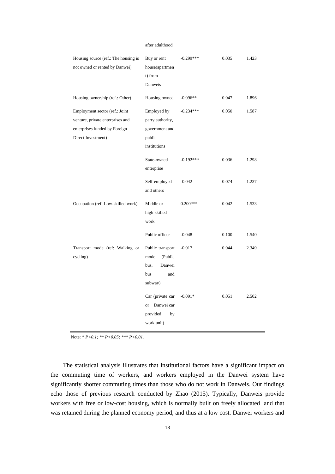#### after [adulthood](https://www.sciencedirect.com/topics/social-sciences/adulthood)

| Housing source (ref.: The housing is<br>not owned or rented by Danwei)                                                    | Buy or rent<br>house(apartmen<br>t) from<br>Danweis                                   | $-0.299***$ | 0.035 | 1.423 |
|---------------------------------------------------------------------------------------------------------------------------|---------------------------------------------------------------------------------------|-------------|-------|-------|
| Housing ownership (ref.: Other)                                                                                           | Housing owned                                                                         | $-0.096**$  | 0.047 | 1.896 |
| Employment sector (ref.: Joint<br>venture, private enterprises and<br>enterprises funded by Foreign<br>Direct Investment) | Employed by<br>party authority,<br>government and<br>public<br>institutions           | $-0.234***$ | 0.050 | 1.587 |
|                                                                                                                           | State-owned<br>enterprise                                                             | $-0.192***$ | 0.036 | 1.298 |
|                                                                                                                           | Self-employed<br>and others                                                           | $-0.042$    | 0.074 | 1.237 |
| Occupation (ref: Low-skilled work)                                                                                        | Middle or<br>high-skilled<br>work                                                     | $0.200***$  | 0.042 | 1.533 |
|                                                                                                                           | Public officer                                                                        | $-0.048$    | 0.100 | 1.540 |
| Transport mode (ref: Walking or<br>cycling)                                                                               | Public transport<br>mode<br>(Public<br>bus,<br>Danwei<br><b>bus</b><br>and<br>subway) | $-0.017$    | 0.044 | 2.349 |
|                                                                                                                           | Car (private car<br>Danwei car<br><b>or</b><br>provided<br>by<br>work unit)           | $-0.091*$   | 0.051 | 2.502 |

Note: *\* P<0.1; \*\* P<0.05; \*\*\* P<0.01.*

The statistical analysis illustrates that institutional factors have a significant impact on the commuting time of workers, and workers employed in the Danwei system have significantly shorter commuting times than those who do not work in Danweis. Our findings echo those of previous research conducted by Zhao (2015). Typically, Danweis provide workers with free or low-cost housing, which is normally built on freely allocated land that was retained during the planned economy period, and thus at a low cost. Danwei workers and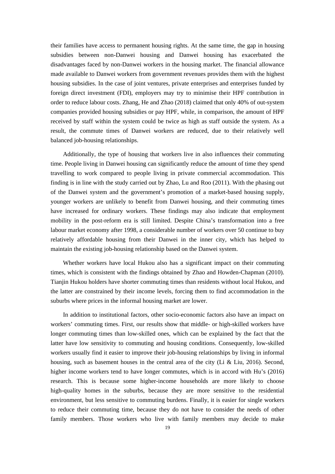their families have access to permanent housing rights. At the same time, the gap in housing subsidies between non-Danwei housing and Danwei housing has exacerbated the disadvantages faced by non-Danwei workers in the housing market. The financial allowance made available to Danwei workers from government revenues provides them with the highest housing subsidies. In the case of joint ventures, private enterprises and enterprises funded by foreign direct investment (FDI), employers may try to minimise their HPF contribution in order to reduce labour costs. Zhang, He and Zhao (2018) claimed that only 40% of out-system companies provided housing subsidies or pay HPF, while, in comparison, the amount of HPF received by staff within the system could be twice as high as staff outside the system. As a result, the commute times of Danwei workers are reduced, due to their relatively well balanced job-housing relationships.

 Additionally, the type of housing that workers live in also influences their commuting time. People living in Danwei housing can significantly reduce the amount of time they spend travelling to work compared to people living in private commercial accommodation. This finding is in line with the study carried out by Zhao, Lu and Roo (2011). With the phasing out of the Danwei system and the government's promotion of a market-based housing supply, younger workers are unlikely to benefit from Danwei housing, and their commuting times have increased for ordinary workers. These findings may also indicate that employment mobility in the post-reform era is still limited. Despite China's transformation into a free labour market economy after 1998, a considerable number of workers over 50 continue to buy relatively affordable housing from their Danwei in the inner city, which has helped to maintain the existing job-housing relationship based on the Danwei system.

 Whether workers have local Hukou also has a significant impact on their commuting times, which is consistent with the findings obtained by Zhao and Howden-Chapman (2010). Tianjin Hukou holders have shorter commuting times than residents without local Hukou, and the latter are constrained by their income levels, forcing them to find accommodation in the suburbs where prices in the informal housing market are lower.

 In addition to institutional factors, other socio-economic factors also have an impact on workers' commuting times. First, our results show that middle- or high-skilled workers have longer commuting times than low-skilled ones, which can be explained by the fact that the latter have low sensitivity to commuting and housing conditions. Consequently, low-skilled workers usually find it easier to improve their job-housing relationships by living in informal housing, such as basement houses in the central area of the city (Li & Liu, 2016). Second, higher income workers tend to have longer commutes, which is in accord with Hu's (2016) research. This is because some higher-income households are more likely to choose high-quality homes in the suburbs, because they are more sensitive to the residential environment, but less sensitive to commuting burdens. Finally, it is easier for single workers to reduce their commuting time, because they do not have to consider the needs of other family members. Those workers who live with family members may decide to make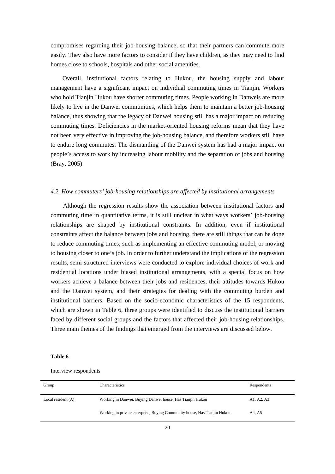compromises regarding their job-housing balance, so that their partners can commute more easily. They also have more factors to consider if they have children, as they may need to find homes close to schools, hospitals and other social amenities.

Overall, institutional factors relating to Hukou, the housing supply and labour management have a significant impact on individual commuting times in Tianjin. Workers who hold Tianjin Hukou have shorter commuting times. People working in Danweis are more likely to live in the Danwei communities, which helps them to maintain a better job-housing balance, thus showing that the legacy of Danwei housing still has a major impact on reducing commuting times. Deficiencies in the market-oriented housing reforms mean that they have not been very effective in improving the job-housing balance, and therefore workers still have to endure long commutes. The dismantling of the Danwei system has had a major impact on people's access to work by increasing labour mobility and the separation of jobs and housing (Bray, 2005).

## *4.2. How commuters' job-housing relationships are affected by institutional arrangements*

Although the regression results show the association between institutional factors and commuting time in quantitative terms, it is still unclear in what ways workers' job-housing relationships are shaped by institutional constraints. In addition, even if institutional constraints affect the balance between jobs and housing, there are still things that can be done to reduce commuting times, such as implementing an effective commuting model, or moving to housing closer to one's job. In order to further understand the implications of the regression results, semi-structured interviews were conducted to explore individual choices of work and residential locations under biased institutional arrangements, with a special focus on how workers achieve a balance between their jobs and residences, their attitudes towards Hukou and the Danwei system, and their strategies for dealing with the commuting burden and institutional barriers. Based on the socio-economic characteristics of the 15 respondents, which are shown in Table 6, three groups were identified to discuss the institutional barriers faced by different social groups and the factors that affected their job-housing relationships. Three main themes of the findings that emerged from the interviews are discussed below.

#### **Table 6**

Interview respondents

| Group                | Characteristics                                                          | Respondents |
|----------------------|--------------------------------------------------------------------------|-------------|
| Local resident $(A)$ | Working in Danwei, Buying Danwei house, Has Tianjin Hukou                | A1, A2, A3  |
|                      | Working in private enterprise, Buying Commodity house, Has Tianjin Hukou | A4. A5      |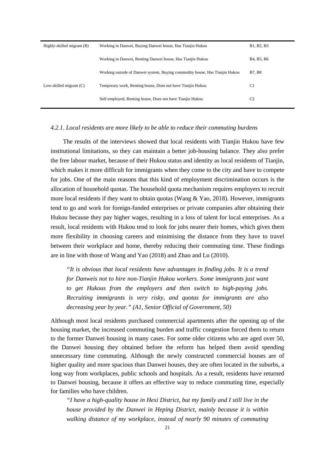| Highly-skilled migrant (B) | Working in Danwei, Buying Danwei house, Has Tianjin Hukou                   | B1, B2, B3                                       |
|----------------------------|-----------------------------------------------------------------------------|--------------------------------------------------|
|                            | Working in Danwei, Renting Danwei house, Has Tianjin Hukou                  | B <sub>4</sub> , B <sub>5</sub> , B <sub>6</sub> |
|                            | Working outside of Danwei system, Buying commodity house, Has Tianjin Hukou | <b>B7, B8</b>                                    |
| Low-skilled migrant $(C)$  | Temporary work, Renting house, Does not have Tianjin Hukou                  | C <sub>1</sub>                                   |
|                            | Self-employed, Renting house, Does not have Tianjin Hukou                   | C <sub>2</sub>                                   |

#### *4.2.1. Local residents are more likely to be able to reduce their commuting burdens*

The results of the interviews showed that local residents with Tianjin Hukou have few institutional limitations, so they can maintain a better job-housing balance. They also prefer the free labour market, because of their Hukou status and identity as local residents of Tianjin, which makes it more difficult for immigrants when they come to the city and have to compete for jobs. One of the main reasons that this kind of employment discrimination occurs is the allocation of household quotas. The household quota mechanism requires employers to recruit more local residents if they want to obtain quotas (Wang  $\&$  Yao, 2018). However, immigrants tend to go and work for foreign-funded enterprises or private companies after obtaining their Hukou because they pay higher wages, resulting in a loss of talent for local enterprises. As a result, local residents with Hukou tend to look for jobs nearer their homes, which gives them more flexibility in choosing careers and minimising the distance from they have to travel between their workplace and home, thereby reducing their commuting time. These findings are in line with those of Wang and Yao (2018) and Zhao and Lu (2010).

*"It is obvious that local residents have advantages in finding jobs. It is a trend for Danweis not to hire non-Tianjin Hukou workers. Some immigrants just want to get Hukous from the employers and then switch to high-paying jobs. Recruiting immigrants is very risky, and quotas for immigrants are also decreasing year by year." (A1, Senior Official of Government, 50)*

Although most local residents purchased commercial apartments after the opening up of the housing market, the increased commuting burden and traffic congestion forced them to return to the former Danwei housing in many cases. For some older citizens who are aged over 50, the Danwei housing they obtained before the reform has helped them avoid spending unnecessary time commuting. Although the newly constructed commercial houses are of higher quality and more spacious than Danwei houses, they are often located in the suburbs, a long way from workplaces, public schools and hospitals. As a result, residents have returned to Danwei housing, because it offers an effective way to reduce commuting time, especially for families who have children.

*"I have a high-quality house in Hexi District, but my family and I still live in the house provided by the Danwei in Heping District, mainly because it is within walking distance of my workplace, instead of nearly 90 minutes of commuting*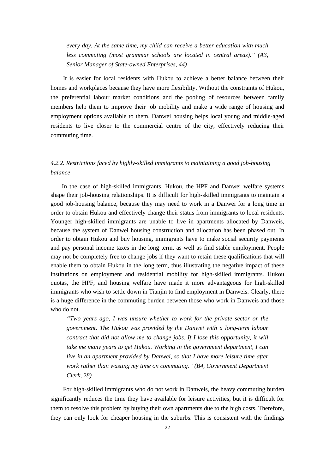*every day. At the same time, my child can receive a better education with much less commuting (most grammar schools are located in central areas)." (A3, Senior Manager of State-owned Enterprises, 44)*

It is easier for local residents with Hukou to achieve a better balance between their homes and workplaces because they have more flexibility. Without the constraints of Hukou, the preferential labour market conditions and the pooling of resources between family members help them to improve their job mobility and make a wide range of housing and employment options available to them. Danwei housing helps local young and middle-aged residents to live closer to the commercial centre of the city, effectively reducing their commuting time.

# *4.2.2. Restrictions faced by highly-skilled immigrants to maintaining a good job-housing balance*

 In the case of high-skilled immigrants, Hukou, the HPF and Danwei welfare systems shape their job-housing relationships. It is difficult for high-skilled immigrants to maintain a good job-housing balance, because they may need to work in a Danwei for a long time in order to obtain Hukou and effectively change their status from immigrants to local residents. Younger high-skilled immigrants are unable to live in apartments allocated by Danweis, because the system of Danwei housing construction and allocation has been phased out. In order to obtain Hukou and buy housing, immigrants have to make social security payments and pay personal income taxes in the long term, as well as find stable employment. People may not be completely free to change jobs if they want to retain these qualifications that will enable them to obtain Hukou in the long term, thus illustrating the negative impact of these institutions on employment and residential mobility for high-skilled immigrants. Hukou quotas, the HPF, and housing welfare have made it more advantageous for high-skilled immigrants who wish to settle down in Tianjin to find employment in Danweis. Clearly, there is a huge difference in the commuting burden between those who work in Danweis and those who do not.

*"Two years ago, I was unsure whether to work for the private sector or the government. The Hukou was provided by the Danwei with a long-term labour contract that did not allow me to change jobs. If I lose this opportunity, it will take me many years to get Hukou. Working in the government department, I can live in an apartment provided by Danwei, so that I have more leisure time after work rather than wasting my time on commuting." (B4, Government Department Clerk, 28)*

For high-skilled immigrants who do not work in Danweis, the heavy commuting burden significantly reduces the time they have available for leisure activities, but it is difficult for them to resolve this problem by buying their own apartments due to the high costs. Therefore, they can only look for cheaper housing in the suburbs. This is consistent with the findings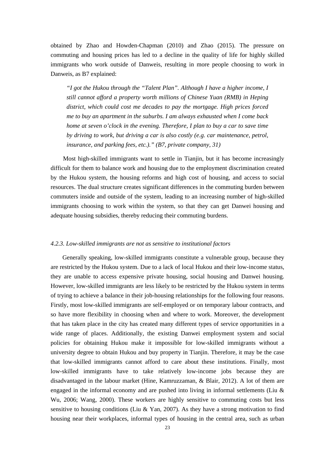obtained by Zhao and Howden-Chapman (2010) and Zhao (2015). The pressure on commuting and housing prices has led to a decline in the quality of life for highly skilled immigrants who work outside of Danweis, resulting in more people choosing to work in Danweis, as B7 explained:

*"I got the Hukou through the "Talent Plan". Although I have a higher income, I still cannot afford a property worth millions of Chinese Yuan (RMB) in Heping district, which could cost me decades to pay the mortgage. High prices forced me to buy an apartment in the suburbs. I am always exhausted when I come back home at seven o'clock in the evening. Therefore, I plan to buy a car to save time by driving to work, but driving a car is also costly (e.g. car maintenance, petrol, insurance, and parking fees, etc.)." (B7, private company, 31)*

Most high-skilled immigrants want to settle in Tianjin, but it has become increasingly difficult for them to balance work and housing due to the employment discrimination created by the Hukou system, the housing reforms and high cost of housing, and access to social resources. The dual structure creates significant differences in the commuting burden between commuters inside and outside of the system, leading to an increasing number of high-skilled immigrants choosing to work within the system, so that they can get Danwei housing and adequate housing subsidies, thereby reducing their commuting burdens.

## *4.2.3. Low-skilled immigrants are not as sensitive to institutional factors*

Generally speaking, low-skilled immigrants constitute a vulnerable group, because they are restricted by the Hukou system. Due to a lack of local Hukou and their low-income status, they are unable to access expensive private housing, social housing and Danwei housing. However, low-skilled immigrants are less likely to be restricted by the Hukou system in terms of trying to achieve a balance in their job-housing relationships for the following four reasons. Firstly, most low-skilled immigrants are self-employed or on temporary labour contracts, and so have more flexibility in choosing when and where to work. Moreover, the development that has taken place in the city has created many different types of service opportunities in a wide range of places. Additionally, the existing Danwei employment system and social policies for obtaining Hukou make it impossible for low-skilled immigrants without a university degree to obtain Hukou and buy property in Tianjin. Therefore, it may be the case that low-skilled immigrants cannot afford to care about these institutions. Finally, most low-skilled immigrants have to take relatively low-income jobs because they are disadvantaged in the labour market (Hine, Kamruzzaman, & Blair, 2012). A lot of them are engaged in the informal economy and are pushed into living in informal settlements (Liu & Wu, 2006; Wang, 2000). These workers are highly sensitive to commuting costs but less sensitive to housing conditions (Liu & Yan, 2007). As they have a strong motivation to find housing near their workplaces, informal types of housing in the central area, such as urban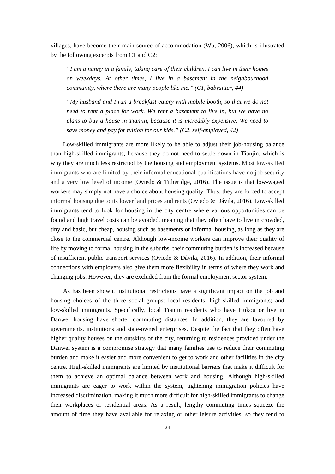villages, have become their main source of accommodation (Wu, 2006), which is illustrated by the following excerpts from C1 and C2:

*"I am a nanny in a family, taking care of their children. I can live in their homes on weekdays. At other times, I live in a basement in the neighbourhood community, where there are many people like me." (C1, babysitter, 44)*

*"My husband and I run a breakfast eatery with mobile booth, so that we do not need to rent a place for work. We rent a basement to live in, but we have no plans to buy a house in Tianjin, because it is incredibly expensive. We need to save money and pay for tuition for our kids." (C2, self-employed, 42)*

Low-skilled immigrants are more likely to be able to adjust their job-housing balance than high-skilled immigrants, because they do not need to settle down in Tianjin, which is why they are much less restricted by the housing and employment systems. Most low-skilled immigrants who are limited by their informal educational qualifications have no job security and a very low level of income (Oviedo & Titheridge, 2016). The issue is that low-waged workers may simply not have a choice about housing quality. Thus, they are forced to accept informal housing due to its lower land prices and rents (Oviedo & Dávila, 2016). Low-skilled immigrants tend to look for housing in the city centre where various opportunities can be found and high travel costs can be avoided, meaning that they often have to live in crowded, tiny and basic, but cheap, housing such as basements or informal housing, as long as they are close to the commercial centre. Although low-income workers can improve their quality of life by moving to formal housing in the suburbs, their commuting burden is increased because of insufficient public transport services (Oviedo & Dávila, 2016). In addition, their informal connections with employers also give them more flexibility in terms of where they work and changing jobs. However, they are excluded from the formal employment sector system.

 As has been shown, institutional restrictions have a significant impact on the job and housing choices of the three social groups: local residents; high-skilled immigrants; and low-skilled immigrants. Specifically, local Tianjin residents who have Hukou or live in Danwei housing have shorter commuting distances. In addition, they are favoured by governments, institutions and state-owned enterprises. Despite the fact that they often have higher quality houses on the outskirts of the city, returning to residences provided under the Danwei system is a compromise strategy that many families use to reduce their commuting burden and make it easier and more convenient to get to work and other facilities in the city centre. High-skilled immigrants are limited by institutional barriers that make it difficult for them to achieve an optimal balance between work and housing. Although high-skilled immigrants are eager to work within the system, tightening immigration policies have increased discrimination, making it much more difficult for high-skilled immigrants to change their workplaces or residential areas. As a result, lengthy commuting times squeeze the amount of time they have available for relaxing or other leisure activities, so they tend to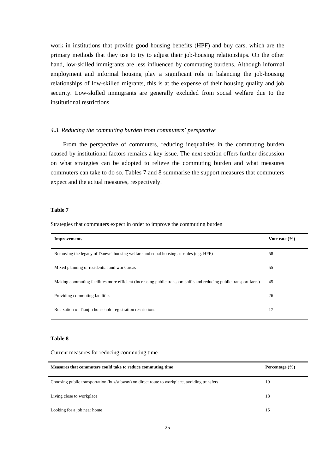work in institutions that provide good housing benefits (HPF) and buy cars, which are the primary methods that they use to try to adjust their job-housing relationships. On the other hand, low-skilled immigrants are less influenced by commuting burdens. Although informal employment and informal housing play a significant role in balancing the job-housing relationships of low-skilled migrants, this is at the expense of their housing quality and job security. Low-skilled immigrants are generally excluded from social welfare due to the institutional restrictions.

### *4.3. Reducing the commuting burden from commuters' perspective*

From the perspective of commuters, reducing inequalities in the commuting burden caused by institutional factors remains a key issue. The next section offers further discussion on what strategies can be adopted to relieve the commuting burden and what measures commuters can take to do so. Tables 7 and 8 summarise the support measures that commuters expect and the actual measures, respectively.

#### **Table 7**

Strategies that commuters expect in order to improve the commuting burden

| <b>Improvements</b>                                                                                                 | Vote rate $(\% )$ |
|---------------------------------------------------------------------------------------------------------------------|-------------------|
| Removing the legacy of Danwei housing welfare and equal housing subsides (e.g. HPF)                                 | 58                |
| Mixed planning of residential and work areas                                                                        | 55                |
| Making commuting facilities more efficient (increasing public transport shifts and reducing public transport fares) | 45                |
| Providing commuting facilities                                                                                      | 26                |
| Relaxation of Tianjin household registration restrictions                                                           | 17                |

#### **Table 8**

Current measures for reducing commuting time

| Measures that commuters could take to reduce commuting time                                  | Percentage $(\% )$ |
|----------------------------------------------------------------------------------------------|--------------------|
| Choosing public transportation (bus/subway) on direct route to workplace, avoiding transfers | 19                 |
| Living close to workplace                                                                    | 18                 |
| Looking for a job near home                                                                  | 15                 |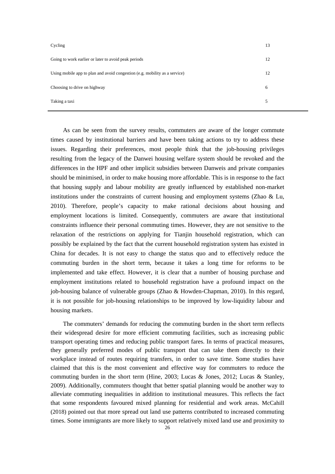| Cycling                                                                    | 13 |
|----------------------------------------------------------------------------|----|
| Going to work earlier or later to avoid peak periods                       | 12 |
| Using mobile app to plan and avoid congestion (e.g. mobility as a service) | 12 |
| Choosing to drive on highway                                               | 6  |
| Taking a taxi                                                              | 5  |

As can be seen from the survey results, commuters are aware of the longer commute times caused by institutional barriers and have been taking actions to try to address these issues. Regarding their preferences, most people think that the job-housing privileges resulting from the legacy of the Danwei housing welfare system should be revoked and the differences in the HPF and other implicit subsidies between Danweis and private companies should be minimised, in order to make housing more affordable. This is in response to the fact that housing supply and labour mobility are greatly influenced by established non-market institutions under the constraints of current housing and employment systems (Zhao  $\&$  Lu, 2010). Therefore, people's capacity to make rational decisions about housing and employment locations is limited. Consequently, commuters are aware that institutional constraints influence their personal commuting times. However, they are not sensitive to the relaxation of the restrictions on applying for Tianjin household registration, which can possibly be explained by the fact that the current household registration system has existed in China for decades. It is not easy to change the status quo and to effectively reduce the commuting burden in the short term, because it takes a long time for reforms to be implemented and take effect. However, it is clear that a number of housing purchase and employment institutions related to household registration have a profound impact on the job-housing balance of vulnerable groups (Zhao & Howden-Chapman, 2010). In this regard, it is not possible for job-housing relationships to be improved by low-liquidity labour and housing markets.

 The commuters' demands for reducing the commuting burden in the short term reflects their widespread desire for more efficient commuting facilities, such as increasing public transport operating times and reducing public transport fares. In terms of practical measures, they generally preferred modes of public transport that can take them directly to their workplace instead of routes requiring transfers, in order to save time. Some studies have claimed that this is the most convenient and effective way for commuters to reduce the commuting burden in the short term (Hine, 2003; Lucas & Jones, 2012; Lucas & Stanley, 2009). Additionally, commuters thought that better spatial planning would be another way to alleviate commuting inequalities in addition to institutional measures. This reflects the fact that some respondents favoured mixed planning for residential and work areas. McCahill (2018) pointed out that more spread out land use patterns contributed to increased commuting times. Some immigrants are more likely to support relatively mixed land use and proximity to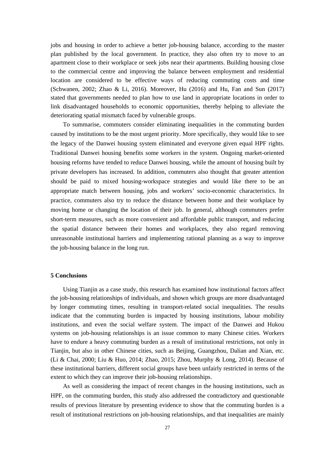jobs and housing in order to achieve a better job-housing balance, according to the master plan published by the local government. In practice, they also often try to move to an apartment close to their workplace or seek jobs near their apartments. Building housing close to the commercial centre and improving the balance between employment and residential location are considered to be effective ways of reducing commuting costs and time (Schwanen, 2002; Zhao & Li, 2016). Moreover, Hu (2016) and Hu, Fan and Sun (2017) stated that governments needed to plan how to use land in appropriate locations in order to link disadvantaged households to economic opportunities, thereby helping to alleviate the deteriorating spatial mismatch faced by vulnerable groups.

 To summarise, commuters consider eliminating inequalities in the commuting burden caused by institutions to be the most urgent priority. More specifically, they would like to see the legacy of the Danwei housing system eliminated and everyone given equal HPF rights. Traditional Danwei housing benefits some workers in the system. Ongoing market-oriented housing reforms have tended to reduce Danwei housing, while the amount of housing built by private developers has increased. In addition, commuters also thought that greater attention should be paid to mixed housing-workspace strategies and would like there to be an appropriate match between housing, jobs and workers' socio-economic characteristics. In practice, commuters also try to reduce the distance between home and their workplace by moving home or changing the location of their job. In general, although commuters prefer short-term measures, such as more convenient and affordable public transport, and reducing the spatial distance between their homes and workplaces, they also regard removing unreasonable institutional barriers and implementing rational planning as a way to improve the job-housing balance in the long run.

## **5 Conclusions**

Using Tianjin as a case study, this research has examined how institutional factors affect the job-housing relationships of individuals, and shown which groups are more disadvantaged by longer commuting times, resulting in transport-related social inequalities. The results indicate that the commuting burden is impacted by housing institutions, labour mobility institutions, and even the social welfare system. The impact of the Danwei and Hukou systems on job-housing relationships is an issue common to many Chinese cities. Workers have to endure a heavy commuting burden as a result of institutional restrictions, not only in Tianjin, but also in other Chinese cities, such as Beijing, Guangzhou, Dalian and Xian, etc. (Li & Chai, 2000; Liu & Huo, 2014; Zhao, 2015; Zhou, Murphy & Long, 2014). Because of these institutional barriers, different social groups have been unfairly restricted in terms of the extent to which they can improve their job-housing relationships.

As well as considering the impact of recent changes in the housing institutions, such as HPF, on the commuting burden, this study also addressed the contradictory and questionable results of previous literature by presenting evidence to show that the commuting burden is a result of institutional restrictions on job-housing relationships, and that inequalities are mainly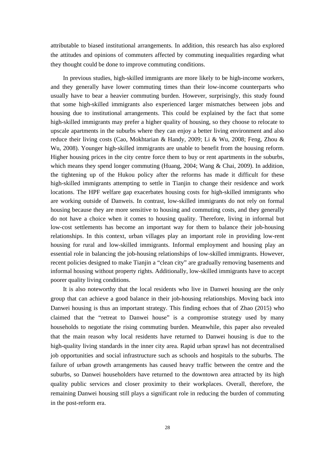attributable to biased institutional arrangements. In addition, this research has also explored the attitudes and opinions of commuters affected by commuting inequalities regarding what they thought could be done to improve commuting conditions.

 In previous studies, high-skilled immigrants are more likely to be high-income workers, and they generally have lower commuting times than their low-income counterparts who usually have to bear a heavier commuting burden. However, surprisingly, this study found that some high-skilled immigrants also experienced larger mismatches between jobs and housing due to institutional arrangements. This could be explained by the fact that some high-skilled immigrants may prefer a higher quality of housing, so they choose to relocate to upscale apartments in the suburbs where they can enjoy a better living environment and also reduce their living costs (Cao, Mokhtarian & Handy, 2009; Li & Wu, 2008; Feng, Zhou & Wu, 2008). Younger high-skilled immigrants are unable to benefit from the housing reform. Higher housing prices in the city centre force them to buy or rent apartments in the suburbs, which means they spend longer commuting (Huang, 2004; Wang & Chai, 2009). In addition, the tightening up of the Hukou policy after the reforms has made it difficult for these high-skilled immigrants attempting to settle in Tianjin to change their residence and work locations. The HPF welfare gap exacerbates housing costs for high-skilled immigrants who are working outside of Danweis. In contrast, low-skilled immigrants do not rely on formal housing because they are more sensitive to housing and commuting costs, and they generally do not have a choice when it comes to housing quality. Therefore, living in informal but low-cost settlements has become an important way for them to balance their job-housing relationships. In this context, urban villages play an important role in providing low-rent housing for rural and low-skilled immigrants. Informal employment and housing play an essential role in balancing the job-housing relationships of low-skilled immigrants. However, recent policies designed to make Tianjin a "clean city" are gradually removing basements and informal housing without property rights. Additionally, low-skilled immigrants have to accept poorer quality living conditions.

 It is also noteworthy that the local residents who live in Danwei housing are the only group that can achieve a good balance in their job-housing relationships. Moving back into Danwei housing is thus an important strategy. This finding echoes that of Zhao (2015) who claimed that the "retreat to Danwei house" is a compromise strategy used by many households to negotiate the rising commuting burden. Meanwhile, this paper also revealed that the main reason why local residents have returned to Danwei housing is due to the high-quality living standards in the inner city area. Rapid urban sprawl has not decentralised job opportunities and social infrastructure such as schools and hospitals to the suburbs. The failure of urban growth arrangements has caused heavy traffic between the centre and the suburbs, so Danwei householders have returned to the downtown area attracted by its high quality public services and closer proximity to their workplaces. Overall, therefore, the remaining Danwei housing still plays a significant role in reducing the burden of commuting in the post-reform era.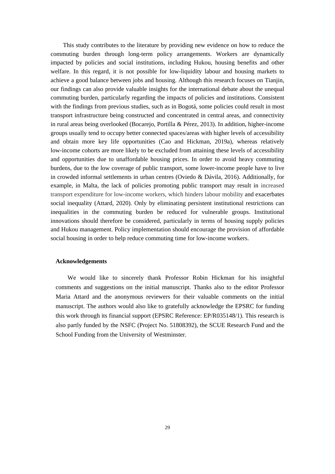This study contributes to the literature by providing new evidence on how to reduce the commuting burden through long-term policy arrangements. Workers are dynamically impacted by policies and social institutions, including Hukou, housing benefits and other welfare. In this regard, it is not possible for low-liquidity labour and housing markets to achieve a good balance between jobs and housing. Although this research focuses on Tianjin, our findings can also provide valuable insights for the international debate about the unequal commuting burden, particularly regarding the impacts of policies and institutions. Consistent with the findings from previous studies, such as in Bogotá, some policies could result in most transport infrastructure being constructed and concentrated in central areas, and connectivity in rural areas being overlooked (Bocarejo, Portilla & Pérez, 2013). In addition, higher-income groups usually tend to occupy better connected spaces/areas with higher levels of accessibility and obtain more key life opportunities (Cao and Hickman, 2019a), whereas relatively low-income cohorts are more likely to be excluded from attaining these levels of accessibility and opportunities due to unaffordable housing prices. In order to avoid heavy commuting burdens, due to the low coverage of public transport, some lower-income people have to live in crowded informal settlements in urban centres (Oviedo & Dávila, 2016). Additionally, for example, in Malta, the lack of policies promoting public transport may result in increased transport expenditure for low-income workers, which hinders labour mobility and exacerbates social inequality (Attard, 2020). Only by eliminating persistent institutional restrictions can inequalities in the commuting burden be reduced for vulnerable groups. Institutional innovations should therefore be considered, particularly in terms of housing supply policies and Hukou management. Policy implementation should encourage the provision of affordable social housing in order to help reduce commuting time for low-income workers.

## **Acknowledgements**

We would like to sincerely thank Professor Robin Hickman for his insightful comments and suggestions on the initial manuscript. Thanks also to the editor Professor Maria Attard and the anonymous reviewers for their valuable comments on the initial manuscript. The authors would also like to gratefully acknowledge the EPSRC for funding this work through its financial support (EPSRC Reference: EP/R035148/1). This research is also partly funded by the NSFC (Project No. 51808392), the SCUE Research Fund and the School Funding from the University of Westminster.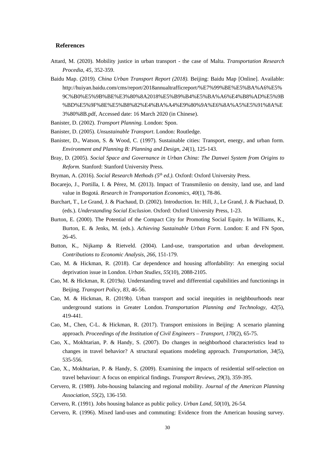### **References**

- Attard, M. (2020). Mobility justice in urban transport the case of Malta. *Transportation Research Procedia, 45*, 352-359.
- Baidu Map. (2019). *China Urban Transport Report (2018).* Beijing: Baidu Map [Online]. Available: http://huiyan.baidu.com/cms/report/2018annualtrafficreport/%E7%99%BE%E5%BA%A6%E5% 9C%B0%E5%9B%BE%E3%80%8A2018%E5%B9%B4%E5%BA%A6%E4%B8%AD%E5%9B %BD%E5%9F%8E%E5%B8%82%E4%BA%A4%E9%80%9A%E6%8A%A5%E5%91%8A%E 3%80%8B.pdf, Accessed date: 16 March 2020 (in Chinese).
- Banister, D. (2002). *Transport Planning.* London: Spon.
- Banister, D. (2005). *Unsustainable Transport*. London: Routledge.
- Banister, D., Watson, S. & Wood, C. (1997). Sustainable cities: Transport, energy, and urban form. *Environment and Planning B: Planning and Design, 24*(1), 125-143.
- Bray, D. (2005). *Social Space and Governance in Urban China: The Danwei System from Origins to Reform.* Stanford: Stanford University Press.
- Bryman, A. (2016). *Social Research Methods (5th ed.).* Oxford: Oxford University Press.
- Bocarejo, J., Portilla, I. & Pérez, M. (2013). Impact of Transmilenio on density, land use, and land value in Bogotá. *Research in Transportation Economics, 40*(1), 78-86.
- Burchart, T., Le Grand, J. & Piachaud, D. (2002). Introduction. In: Hill, J., Le Grand, J. & Piachaud, D. (eds.). *Understanding Social Exclusion*. Oxford: Oxford University Press, 1-23.
- Burton, E. (2000). The Potential of the Compact City for Promoting Social Equity. In Williams, K., Burton, E. & Jenks, M. (eds.). *Achieving Sustainable Urban Form*. London: E and FN Spon, 26-45.
- Button, K., Nijkamp & Rietveld. (2004). Land-use, transportation and urban development. *Contributions to Economic Analysis, 266*, 151-179.
- Cao, M. & Hickman, R. (2018). Car dependence and housing affordability: An emerging social deprivation issue in London. *Urban Studies, 55*(10), 2088-2105.
- Cao, M. & Hickman, R. (2019a). Understanding travel and differential capabilities and functionings in Beijing. *Transport Policy, 83*, 46-56.
- Cao, M. & Hickman, R. (2019b). Urban transport and social inequities in neighbourhoods near underground stations in Greater London. *Transportation Planning and Technology, 42*(5), 419-441.
- Cao, M., Chen, C-L. & Hickman, R. (2017). Transport emissions in Beijing: A scenario planning approach. *Proceedings of the Institution of Civil Engineers – Transport, 170*(2), 65-75.
- Cao, X., Mokhtarian, P. & Handy, S. (2007). Do changes in neighborhood characteristics lead to changes in travel behavior? A structural equations modeling approach. *Transportation, 34*(5), 535-556.
- Cao, X., Mokhtarian, P. & Handy, S. (2009). Examining the impacts of residential self-selection on travel behaviour: A focus on empirical findings. *Transport Reviews, 29*(3), 359-395.
- Cervero, R. (1989). Jobs-housing balancing and regional mobility. *Journal of the American Planning Association, 55*(2), 136-150.
- Cervero, R. (1991). Jobs housing balance as public policy. *Urban Land, 50*(10), 26-54.

Cervero, R. (1996). Mixed land-uses and commuting: Evidence from the American housing survey.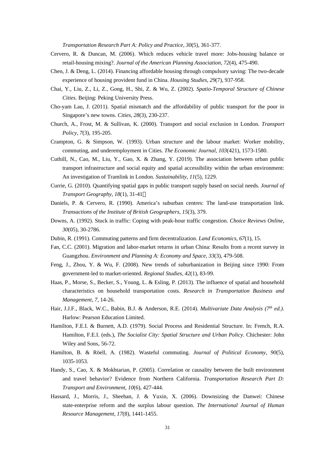*Transportation Research Part A: Policy and Practice, 30*(5), 361-377.

- Cervero, R. & Duncan, M. (2006). Which reduces vehicle travel more: Jobs-housing balance or retail-housing mixing?. *Journal of the American Planning Association, 72*(4), 475-490.
- Chen, J. & Deng, L. (2014). Financing affordable housing through compulsory saving: The two-decade experience of housing provident fund in China. *Housing Studies, 29*(7), 937-958.
- Chai, Y., Liu, Z., Li, Z., Gong, H., Shi, Z. & Wu, Z. (2002). *Spatio-Temporal Structure of Chinese Cities.* Beijing: Peking University Press.
- Cho-yam Lau, J. (2011). Spatial mismatch and the affordability of public transport for the poor in Singapore's new towns. *Cities, 28*(3), 230-237.
- Church, A., Frost, M. & Sullivan, K. (2000). Transport and social exclusion in London. *Transport Policy, 7*(3), 195-205.
- Crampton, G. & Simpson, W. (1993). Urban structure and the labour market: Worker mobility, commuting, and underemployment in Cities. *The Economic Journal, 103*(421), 1573-1580.
- Cuthill, N., Cao, M., Liu, Y., Gao, X. & Zhang, Y. (2019). The association between urban public transport infrastructure and social equity and spatial accessibility within the urban environment: An investigation of Tramlink in London. *Sustainability, 11*(5), 1229.
- Currie, G. (2010). Quantifying spatial gaps in public transport supply based on social needs. *Journal of Transport Geography, 18*(1), 31-41 $\Box$
- Daniels, P. & Cervero, R. (1990). America's suburban centres: The land-use transportation link. *Transactions of the Institute of British Geographers, 15*(3), 379.
- Downs, A. (1992). Stuck in traffic: Coping with peak-hour traffic congestion. *Choice Reviews Online, 30*(05), 30-2786.
- Dubin, R. (1991). Commuting patterns and firm decentralization. *Land Economics, 67*(1), 15.
- Fan, C.C. (2001). Migration and labor-market returns in urban China: Results from a recent survey in Guangzhou. *Environment and Planning A: Economy and Space, 33*(3), 479-508.
- Feng, J., Zhou, Y. & Wu, F. (2008). New trends of suburbanization in Beijing since 1990: From government-led to market-oriented. *Regional Studies, 42*(1), 83-99.
- Haas, P., Morse, S., Becker, S., Young, L. & Esling, P. (2013). The influence of spatial and household characteristics on household transportation costs. *Research in Transportation Business and Management, 7*, 14-26.
- Hair, J.J.F., Black, W.C., Babin, B.J. & Anderson, R.E. (2014). *Multivariate Data Analysis (7th ed.)*. Harlow: Pearson Education Limited.
- Hamilton, F.E.I. & Burnett, A.D. (1979). Social Process and Residential Structure. In: French, R.A. Hamilton, F.E.I. (eds.), *The Socialist City: Spatial Structure and Urban Policy.* Chichester: John Wiley and Sons, 56-72.
- Hamilton, B. & Röell, A. (1982). Wasteful commuting. *Journal of Political Economy, 90*(5), 1035-1053.
- Handy, S., Cao, X. & Mokhtarian, P. (2005). Correlation or causality between the built environment and travel behavior? Evidence from Northern California. *Transportation Research Part D: Transport and Environment, 10*(6), 427-444.
- Hassard, J., Morris, J., Sheehan, J. & Yuxin, X. (2006). Downsizing the Danwei: Chinese state-enterprise reform and the surplus labour question. *The International Journal of Human Resource Management, 17*(8), 1441-1455.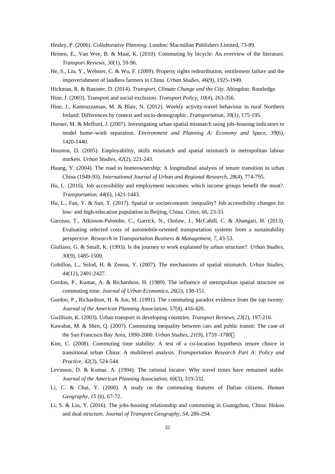Healey, P. (2006). *Collaborative Planning*. London: Macmillan Publishers Limited, 73-89.

- Heinen, E., Van Wee, B. & Maat, K. (2010). Commuting by bicycle: An overview of the literature. *Transport Reviews, 30*(1), 59-96.
- He, S., Liu, Y., Webster, C. & Wu, F. (2009). Property rights redistribution, entitlement failure and the impoverishment of landless farmers in China. *Urban Studies, 46*(9), 1925-1949.
- Hickman, R. & Banister, D. (2014). *Transport, Climate Change and the City*. Abingdon: Routledge.
- Hine, J. (2003). Transport and social exclusion. *Transport Policy, 10*(4), 263-356.
- Hine, J., Kamruzzaman, M. & Blair, N. (2012). Weekly activity-travel behaviour in rural Northern Ireland: Differences by context and socio-demographic. *Transportation, 39*(1), 175-195.
- Horner, M. & Mefford, J. (2007). Investigating urban spatial mismatch using job–housing indicators to model home–work separation. *Environment and Planning A: Economy and Space, 39*(6), 1420-1440.
- Houston, D. (2005). Employability, skills mismatch and spatial mismatch in metropolitan labour markets. *Urban Studies, 42*(2), 221-243.
- Huang, Y. (2004). The road to homeownership: A longitudinal analysis of tenure transition in urban China (1949-93). *International Journal of Urban and Regional Research, 28*(4), 774-795.
- Hu, L. (2016). Job accessibility and employment outcomes: which income groups benefit the most?. *Transportation, 44*(6), 1421-1443.
- Hu, L., Fan, Y. & Sun, T. (2017). Spatial or socioeconomic inequality? Job accessibility changes for low- and high-education population in Beijing, China. *Cities, 66*, 23-33.
- Garceau, T., Atkinson-Palombo, C., Garrick, N., Outlaw, J., McCahill, C. & Ahangari, H. (2013). Evaluating selected costs of automobile-oriented transportation systems from a sustainability perspective. *Research in Transportation Business & Management, 7*, 43-53.
- Giuliano, G. & Small, K. (1993). Is the journey to work explained by urban structure?. *Urban Studies, 30*(9), 1485-1500.
- Gobillon, L., Selod, H. & Zenou, Y. (2007). The mechanisms of spatial mismatch. *Urban Studies, 44*(12), 2401-2427.
- Gordon, P., Kumar, A. & Richardson, H. (1989). The influence of metropolitan spatial structure on commuting time. *Journal of Urban Economics, 26*(2), 138-151.
- Gordon, P., Richardson, H. & Jun, M. (1991). The commuting paradox evidence from the top twenty. *Journal of the American Planning Association, 57*(4), 416-420.
- Gwilliam, K. (2003). Urban transport in developing countries. *Transport Reviews, 23*(2), 197-216.
- Kawabat, M. & Shen, Q. (2007). Commuting inequality between cars and public transit: The case of the San Francisco Bay Area, 1990-2000. *Urban Studies, 21*(9), 1759 -1780.
- Kim, C. (2008). Commuting time stability: A test of a co-location hypothesis tenure choice in transitional urban China: A multilevel analysis. *Transportation Research Part A: Policy and Practice, 42*(3), 524-544.
- Levinson, D. & Kumar, A. (1994). The rational locator: Why travel times have remained stable. *Journal of the American Planning Association, 60*(3), 319-332.
- Li, C. & Chai, Y. (2000). A study on the commuting features of Dalian citizens. *Human Geography, 15* (6), 67-72.
- Li, S. & Liu, Y. (2016). The jobs-housing relationship and commuting in Guangzhou, China: Hukou and dual structure. *Journal of Transport Geography, 54*, 286-294.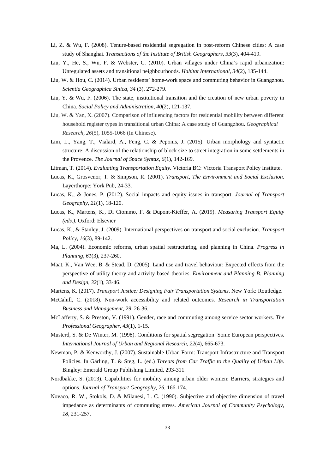- Li, Z. & Wu, F. (2008). Tenure-based residential segregation in post-reform Chinese cities: A case study of Shanghai. *Transactions of the Institute of British Geographers, 33*(3), 404-419.
- Liu, Y., He, S., Wu, F. & Webster, C. (2010). Urban villages under China's rapid urbanization: Unregulated assets and transitional neighbourhoods. *Habitat International, 34*(2), 135-144.
- Liu, W. & Hou, C. (2014). Urban residents' home-work space and commuting behavior in Guangzhou. *Scientia Geographica Sinica, 34* (3), 272-279.
- Liu, Y. & Wu, F. (2006). The state, institutional transition and the creation of new urban poverty in China. *Social Policy and Administration, 40*(2), 121-137.
- Liu, W. & Yan, X. (2007). Comparison of influencing factors for residential mobility between different household register types in transitional urban China: A case study of Guangzhou. *Geographical Research, 26*(5), 1055-1066 (In Chinese).
- Lim, L., Yang, T., Vialard, A., Feng, C. & Peponis, J. (2015). Urban morphology and syntactic structure: A discussion of the relationship of block size to street integration in some settlements in the Provence. *The Journal of Space Syntax*, *6*(1), 142-169.

Litman, T. (2014). *Evaluating Transportation Equity*. Victoria BC: Victoria Transport Policy Institute.

- Lucas, K., Grosvenor, T. & Simpson, R. (2001). *Transport, The Environment and Social Exclusion*. Layerthorpe: York Pub, 24-33.
- Lucas, K., & Jones, P. (2012). Social impacts and equity issues in transport. *Journal of Transport Geography, 21*(1), 18-120.
- Lucas, K., Martens, K., Di Ciommo, F. & Dupont-Kieffer, A. (2019). *Measuring Transport Equity (eds.).* Oxford: Elsevier
- Lucas, K., & Stanley, J. (2009). International perspectives on transport and social exclusion. *Transport Policy, 16*(3), 89-142.
- Ma, L. (2004). Economic reforms, urban spatial restructuring, and planning in China. *Progress in Planning, 61*(3), 237-260.
- Maat, K., Van Wee, B. & Stead, D. (2005). Land use and travel behaviour: Expected effects from the perspective of utility theory and activity-based theories. *Environment and Planning B: Planning and Design, 32*(1), 33-46.
- Martens, K. (2017). *Transport Justice: Designing Fair Transportation Systems*. New York: Routledge.
- McCahill, C. (2018). Non-work accessibility and related outcomes. *Research in Transportation Business and Management, 29*, 26-36.
- McLafferty, S. & Preston, V. (1991). Gender, race and commuting among service sector workers. *The Professional Geographer, 43*(1), 1-15.
- Musterd, S. & De Winter, M. (1998). Conditions for spatial segregation: Some European perspectives. *International Journal of Urban and Regional Research, 22*(4), 665-673.
- Newman, P. & Kenworthy, J. (2007). Sustainable Urban Form: Transport Infrastructure and Transport Policies. In Gärling, T. & Steg, L. (ed.) *Threats from Car Traffic to the Quality of Urban Life*. Bingley: Emerald Group Publishing Limited, 293-311.
- Nordbakke, S. (2013). Capabilities for mobility among urban older women: Barriers, strategies and options. *Journal of Transport Geography, 26*, 166-174.
- Novaco, R. W., Stokols, D. & Milanesi, L. C. (1990). Subjective and objective dimension of travel impedance as determinants of commuting stress. *American Journal of Community Psychology, 18,* 231-257.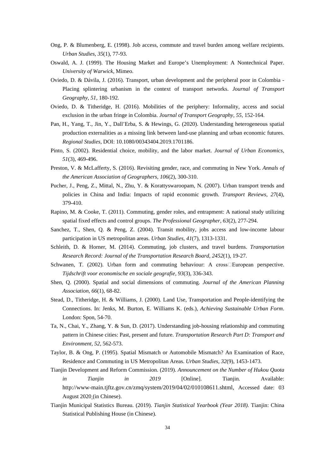- Ong, P. & Blumenberg, E. (1998). Job access, commute and travel burden among welfare recipients. *Urban Studies, 35*(1), 77-93.
- Oswald, A. J. (1999). The Housing Market and Europe's Unemployment: A Nontechnical Paper. *University of Warwick*, Mimeo.
- Oviedo, D. & Dávila, J. (2016). Transport, urban development and the peripheral poor in Colombia Placing splintering urbanism in the context of transport networks. *Journal of Transport Geography, 51*, 180-192.
- Oviedo, D. & Titheridge, H. (2016). Mobilities of the periphery: Informality, access and social exclusion in the urban fringe in Colombia. *Journal of Transport Geography, 55*, 152-164.
- Pan, H., Yang, T., Jin, Y., Dall'Erba, S. & Hewings, G. (2020). Understanding heterogeneous spatial production externalities as a missing link between land-use planning and urban economic futures. *Regional Studies*, DOI: 10.1080/00343404.2019.1701186.
- Pinto, S. (2002). Residential choice, mobility, and the labor market. *Journal of Urban Economics, 51*(3), 469-496.
- Preston, V. & McLafferty, S. (2016). Revisiting gender, race, and commuting in New York. *Annals of the American Association of Geographers, 106*(2), 300-310.
- Pucher, J., Peng, Z., Mittal, N., Zhu, Y. & Korattyswaroopam, N. (2007). Urban transport trends and policies in China and India: Impacts of rapid economic growth. *Transport Reviews, 27*(4), 379-410.
- Rapino, M. & Cooke, T. (2011). Commuting, gender roles, and entrapment: A national study utilizing spatial fixed effects and control groups. *The Professional Geographer, 63*(2), 277-294.
- Sanchez, T., Shen, Q. & Peng, Z. (2004). Transit mobility, jobs access and low-income labour participation in US metropolitan areas. *Urban Studies, 41*(7), 1313-1331.
- Schleith, D. & Horner, M. (2014). Commuting, job clusters, and travel burdens. *Transportation Research Record: Journal of the Transportation Research Board, 2452*(1), 19-27.
- Schwanen, T. (2002). Urban form and commuting behaviour: A cross European perspective. *Tijdschrift voor economische en sociale geografie, 93*(3), 336-343.
- Shen, Q. (2000). Spatial and social dimensions of commuting. *Journal of the American Planning Association, 66*(1), 68-82.
- Stead, D., Titheridge, H. & Williams, J. (2000). Land Use, Transportation and People-identifying the Connections. In: Jenks, M. Burton, E. Williams K. (eds.), *Achieving Sustainable Urban Form*. London: Spon, 54-70.
- Ta, N., Chai, Y., Zhang, Y. & Sun, D. (2017). Understanding job-housing relationship and commuting pattern in Chinese cities: Past, present and future. *Transportation Research Part D: Transport and Environment, 52*, 562-573.
- Taylor, B. & Ong, P. (1995). Spatial Mismatch or Automobile Mismatch? An Examination of Race, Residence and Commuting in US Metropolitan Areas. *Urban Studies, 32*(9), 1453-1473.
- Tianjin Development and Reform Commission. (2019). *Announcement on the Number of Hukou Quota in Tianjin in 2019* [Online]. Tianjin. Available: http://www-main.tjftz.gov.cn/zmq/system/2019/04/02/010108611.shtml, Accessed date: 03 August 2020 (in Chinese).
- Tianjin Municipal Statistics Bureau. (2019). *Tianjin Statistical Yearbook (Year 2018).* Tianjin: China Statistical Publishing House (in Chinese).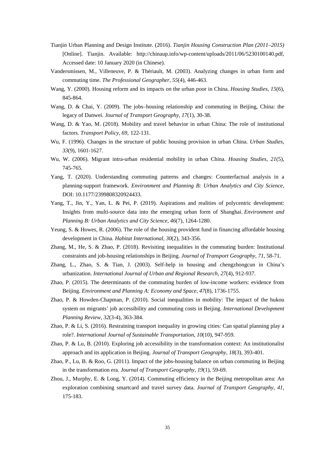- Tianjin Urban Planning and Design Institute. (2016). *Tianjin Housing Construction Plan (2011–2015)*  [Online]. Tianjin. Available: http://chinaup.info/wp-content/uploads/2011/06/5230100140.pdf, Accessed date: 10 January 2020 (in Chinese).
- Vandersmissen, M., Villeneuve, P. & Thériault, M. (2003). Analyzing changes in urban form and commuting time. *The Professional Geographer, 55*(4), 446-463.
- Wang, Y. (2000). Housing reform and its impacts on the urban poor in China. *Housing Studies, 15*(6), 845-864.
- Wang, D. & Chai, Y. (2009). The jobs–housing relationship and commuting in Beijing, China: the legacy of Danwei. *Journal of Transport Geography, 17*(1), 30-38.
- Wang, D. & Yao, M. (2018). Mobility and travel behavior in urban China: The role of institutional factors. *Transport Policy, 69*, 122-131.
- Wu, F. (1996). Changes in the structure of public housing provision in urban China. *Urban Studies, 33*(9), 1601-1627.
- Wu, W. (2006). Migrant intra-urban residential mobility in urban China. *Housing Studies, 21*(5), 745-765.
- Yang, T. (2020). Understanding commuting patterns and changes: Counterfactual analysis in a planning-support framework. *Environment and Planning B: Urban Analytics and City Science*, DOI: 10.1177/2399808320924433.
- Yang, T., Jin, Y., Yan, L. & Pei, P. (2019). Aspirations and realities of polycentric development: Insights from multi-source data into the emerging urban form of Shanghai. *Environment and Planning B: Urban Analytics and City Science*, *46*(7), 1264-1280.
- Yeung, S. & Howes, R. (2006). The role of the housing provident fund in financing affordable housing development in China. *Habitat International, 30*(2), 343-356.
- Zhang, M., He, S. & Zhao, P. (2018). Revisiting inequalities in the commuting burden: Institutional constraints and job-housing relationships in Beijing. *Journal of Transport Geography, 71*, 58-71.
- Zhang, L., Zhao, S. & Tian, J. (2003). Self-help in housing and chengzhongcun in China's urbanization. *International Journal of Urban and Regional Research, 27*(4), 912-937.
- Zhao, P. (2015). The determinants of the commuting burden of low-income workers: evidence from Beijing. *Environment and Planning A: Economy and Space, 47*(8), 1736-1755.
- Zhao, P. & Howden-Chapman, P. (2010). Social inequalities in mobility: The impact of the hukou system on migrants' job accessibility and commuting costs in Beijing. *International Development Planning Review, 32*(3-4), 363-384.
- Zhao, P. & Li, S. (2016). Restraining transport inequality in growing cities: Can spatial planning play a role?. *International Journal of Sustainable Transportation, 10*(10), 947-959.
- Zhao, P. & Lu, B. (2010). Exploring job accessibility in the transformation context: An institutionalist approach and its application in Beijing. *Journal of Transport Geography, 18*(3), 393-401.
- Zhao, P., Lu, B. & Roo, G. (2011). Impact of the jobs-housing balance on urban commuting in Beijing in the transformation era. *Journal of Transport Geography, 19*(1), 59-69.
- Zhou, J., Murphy, E. & Long, Y. (2014). Commuting efficiency in the Beijing metropolitan area: An exploration combining smartcard and travel survey data. *Journal of Transport Geography, 41*, 175-183.